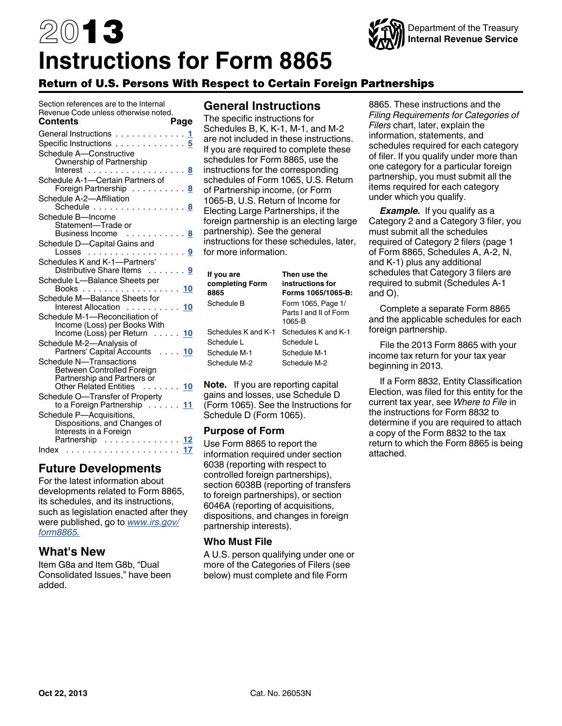# <span id="page-0-0"></span>2013 **Instructions for Form 8865**



### Return of U.S. Persons With Respect to Certain Foreign Partnerships

#### Section references are to the Internal Revenue Code unless otherwise noted.<br>**Contents** Page **Contents** General Instructions . . . . . . . . . . . . . 1 Specific Instructions ............. **[5](#page-4-0)** Schedule A—Constructive Ownership of Partnership Interest .................. **[8](#page-7-0)** Schedule A-1—Certain Partners of Foreign Partnership .......... **[8](#page-7-0)** Schedule A-2—Affiliation Schedule ................. **[8](#page-7-0)** Schedule B—Income Statement—Trade or Business Income ........... **[8](#page-7-0)** Schedule D—Capital Gains and Losses .................. **[9](#page-8-0)** Schedules K and K-1—Partners' Distributive Share Items ........ [9](#page-8-0) Schedule L—Balance Sheets per Books .................. **[10](#page-9-0)** Schedule M—Balance Sheets for Interest Allocation .......... **[10](#page-9-0)** Schedule M-1—Reconciliation of Income (Loss) per Books With Income (Loss) per Return ..... **[10](#page-9-0)** Schedule M-2—Analysis of Partners' Capital Accounts .... **[10](#page-9-0)** Schedule N—Transactions Between Controlled Foreign Partnership and Partners or Other Related Entities ....... **[10](#page-9-0)** Schedule O—Transfer of Property to a Foreign Partnership ...... **[11](#page-10-0)** Schedule P—Acquisitions, Dispositions, and Changes of Interests in a Foreign Partnership .............. **[12](#page-11-0)** Index ..................... **[17](#page-16-0)**

### **Future Developments**

For the latest information about developments related to Form 8865, its schedules, and its instructions, such as legislation enacted after they were published, go to *[www.irs.gov/](http://www.irs.gov/form 8865) [form8865.](http://www.irs.gov/form 8865)*

### **What's New**

Item G8a and Item G8b, "Dual Consolidated Issues," have been added.

### **General Instructions**

The specific instructions for Schedules B, K, K-1, M-1, and M-2 are not included in these instructions. If you are required to complete these schedules for Form 8865, use the instructions for the corresponding schedules of Form 1065, U.S. Return of Partnership income, (or Form 1065-B, U.S. Return of Income for Electing Large Partnerships, if the foreign partnership is an electing large partnership). See the general instructions for these schedules, later, for more information.

| If you are<br>completing Form<br>8865 | Then use the<br>instructions for<br>Forms 1065/1065-B: |
|---------------------------------------|--------------------------------------------------------|
| Schedule B                            | Form 1065, Page 1/<br>Parts Land II of Form<br>1065-B  |
| Schedules K and K-1                   | Schedules K and K-1                                    |
| Schedule L                            | Schedule L                                             |
| Schedule M-1                          | Schedule M-1                                           |
| Schedule M-2                          | Schedule M-2                                           |

**Note.** If you are reporting capital gains and losses, use Schedule D (Form 1065). See the Instructions for Schedule D (Form 1065).

### **Purpose of Form**

Use Form 8865 to report the information required under section 6038 (reporting with respect to controlled foreign partnerships), section 6038B (reporting of transfers to foreign partnerships), or section 6046A (reporting of acquisitions, dispositions, and changes in foreign partnership interests).

### **Who Must File**

A U.S. person qualifying under one or more of the Categories of Filers (see below) must complete and file Form

8865. These instructions and the *Filing Requirements for Categories of Filers* chart, later, explain the information, statements, and schedules required for each category of filer. If you qualify under more than one category for a particular foreign partnership, you must submit all the items required for each category under which you qualify.

*Example.* If you qualify as a Category 2 and a Category 3 filer, you must submit all the schedules required of Category 2 filers (page 1 of Form 8865, Schedules A, A-2, N, and K-1) plus any additional schedules that Category 3 filers are required to submit (Schedules A-1 and O).

Complete a separate Form 8865 and the applicable schedules for each foreign partnership.

File the 2013 Form 8865 with your income tax return for your tax year beginning in 2013.

If a Form 8832, Entity Classification Election, was filed for this entity for the current tax year, see *Where to File* in the instructions for Form 8832 to determine if you are required to attach a copy of the Form 8832 to the tax return to which the Form 8865 is being attached.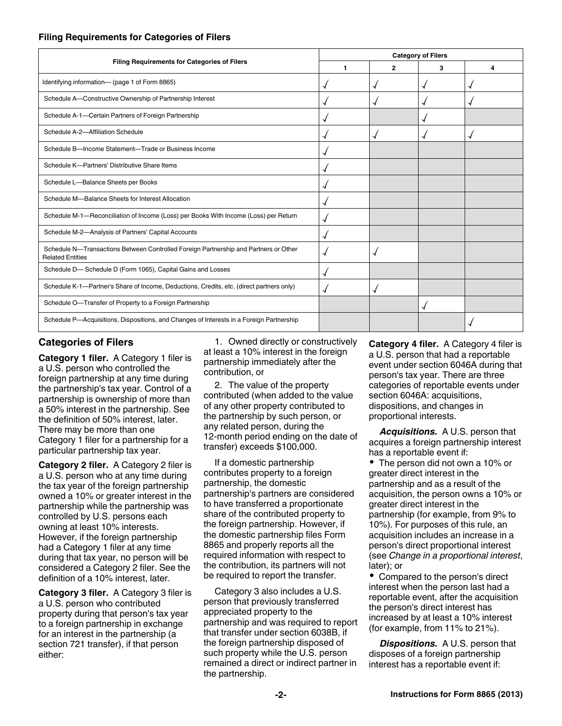### <span id="page-1-0"></span>**Filing Requirements for Categories of Filers**

|                                                                                                                 |   | <b>Category of Filers</b> |   |   |  |
|-----------------------------------------------------------------------------------------------------------------|---|---------------------------|---|---|--|
| <b>Filing Requirements for Categories of Filers</b>                                                             | 1 | $\mathbf{2}$              | 3 | 4 |  |
| Identifying information-(page 1 of Form 8865)                                                                   | √ |                           | ⇃ |   |  |
| Schedule A-Constructive Ownership of Partnership Interest                                                       |   |                           |   |   |  |
| Schedule A-1-Certain Partners of Foreign Partnership                                                            |   |                           |   |   |  |
| Schedule A-2-Affiliation Schedule                                                                               |   |                           |   |   |  |
| Schedule B-Income Statement-Trade or Business Income                                                            |   |                           |   |   |  |
| Schedule K-Partners' Distributive Share Items                                                                   |   |                           |   |   |  |
| Schedule L-Balance Sheets per Books                                                                             |   |                           |   |   |  |
| Schedule M-Balance Sheets for Interest Allocation                                                               | √ |                           |   |   |  |
| Schedule M-1—Reconciliation of Income (Loss) per Books With Income (Loss) per Return                            |   |                           |   |   |  |
| Schedule M-2-Analysis of Partners' Capital Accounts                                                             |   |                           |   |   |  |
| Schedule N-Transactions Between Controlled Foreign Partnership and Partners or Other<br><b>Related Entities</b> |   |                           |   |   |  |
| Schedule D-Schedule D (Form 1065), Capital Gains and Losses                                                     | √ |                           |   |   |  |
| Schedule K-1—Partner's Share of Income, Deductions, Credits, etc. (direct partners only)                        |   | ⇃                         |   |   |  |
| Schedule O-Transfer of Property to a Foreign Partnership                                                        |   |                           |   |   |  |
| Schedule P-Acquisitions, Dispositions, and Changes of Interests in a Foreign Partnership                        |   |                           |   |   |  |

### **Categories of Filers**

**Category 1 filer.** A Category 1 filer is a U.S. person who controlled the foreign partnership at any time during the partnership's tax year. Control of a partnership is ownership of more than a 50% interest in the partnership. See the definition of 50% interest, later. There may be more than one Category 1 filer for a partnership for a particular partnership tax year.

**Category 2 filer.** A Category 2 filer is a U.S. person who at any time during the tax year of the foreign partnership owned a 10% or greater interest in the partnership while the partnership was controlled by U.S. persons each owning at least 10% interests. However, if the foreign partnership had a Category 1 filer at any time during that tax year, no person will be considered a Category 2 filer. See the definition of a 10% interest, later.

**Category 3 filer.** A Category 3 filer is a U.S. person who contributed property during that person's tax year to a foreign partnership in exchange for an interest in the partnership (a section 721 transfer), if that person either:

1. Owned directly or constructively at least a 10% interest in the foreign partnership immediately after the contribution, or

2. The value of the property contributed (when added to the value of any other property contributed to the partnership by such person, or any related person, during the 12-month period ending on the date of transfer) exceeds \$100,000.

If a domestic partnership contributes property to a foreign partnership, the domestic partnership's partners are considered to have transferred a proportionate share of the contributed property to the foreign partnership. However, if the domestic partnership files Form 8865 and properly reports all the required information with respect to the contribution, its partners will not be required to report the transfer.

Category 3 also includes a U.S. person that previously transferred appreciated property to the partnership and was required to report that transfer under section 6038B, if the foreign partnership disposed of such property while the U.S. person remained a direct or indirect partner in the partnership.

**Category 4 filer.** A Category 4 filer is a U.S. person that had a reportable event under section 6046A during that person's tax year. There are three categories of reportable events under section 6046A: acquisitions, dispositions, and changes in proportional interests.

*Acquisitions.* A U.S. person that acquires a foreign partnership interest has a reportable event if:

• The person did not own a 10% or greater direct interest in the partnership and as a result of the acquisition, the person owns a 10% or greater direct interest in the partnership (for example, from 9% to 10%). For purposes of this rule, an acquisition includes an increase in a person's direct proportional interest (see *Change in a proportional interest*, later); or

• Compared to the person's direct interest when the person last had a reportable event, after the acquisition the person's direct interest has increased by at least a 10% interest (for example, from 11% to 21%).

*Dispositions.* A U.S. person that disposes of a foreign partnership interest has a reportable event if: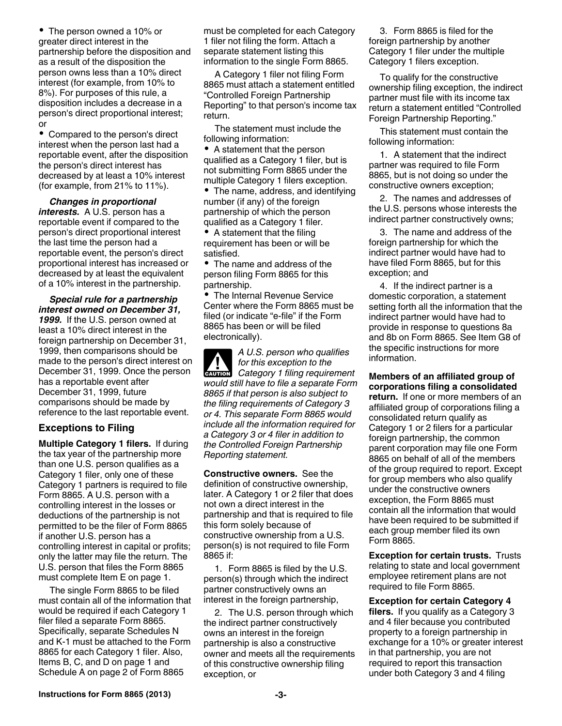<span id="page-2-0"></span>• The person owned a 10% or greater direct interest in the partnership before the disposition and as a result of the disposition the person owns less than a 10% direct interest (for example, from 10% to 8%). For purposes of this rule, a disposition includes a decrease in a person's direct proportional interest; or

Compared to the person's direct interest when the person last had a reportable event, after the disposition the person's direct interest has decreased by at least a 10% interest (for example, from 21% to 11%).

*Changes in proportional interests.* A U.S. person has a reportable event if compared to the person's direct proportional interest the last time the person had a reportable event, the person's direct proportional interest has increased or decreased by at least the equivalent of a 10% interest in the partnership.

*Special rule for a partnership interest owned on December 31, 1999.* If the U.S. person owned at least a 10% direct interest in the foreign partnership on December 31, 1999, then comparisons should be made to the person's direct interest on December 31, 1999. Once the person has a reportable event after December 31, 1999, future comparisons should be made by reference to the last reportable event.

### **Exceptions to Filing**

**Multiple Category 1 filers.** If during the tax year of the partnership more than one U.S. person qualifies as a Category 1 filer, only one of these Category 1 partners is required to file Form 8865. A U.S. person with a controlling interest in the losses or deductions of the partnership is not permitted to be the filer of Form 8865 if another U.S. person has a controlling interest in capital or profits; only the latter may file the return. The U.S. person that files the Form 8865 must complete Item E on page 1.

The single Form 8865 to be filed must contain all of the information that would be required if each Category 1 filer filed a separate Form 8865. Specifically, separate Schedules N and K-1 must be attached to the Form 8865 for each Category 1 filer. Also, Items B, C, and D on page 1 and Schedule A on page 2 of Form 8865

must be completed for each Category 1 filer not filing the form. Attach a separate statement listing this information to the single Form 8865.

A Category 1 filer not filing Form 8865 must attach a statement entitled "Controlled Foreign Partnership Reporting" to that person's income tax return.

The statement must include the following information:

A statement that the person qualified as a Category 1 filer, but is not submitting Form 8865 under the multiple Category 1 filers exception.

• The name, address, and identifying number (if any) of the foreign partnership of which the person qualified as a Category 1 filer.

• A statement that the filing requirement has been or will be satisfied.

The name and address of the person filing Form 8865 for this partnership.

The Internal Revenue Service Center where the Form 8865 must be filed (or indicate "e-file" if the Form 8865 has been or will be filed electronically).

*A U.S. person who qualifies for this exception to the*  **CATEGORY 1** filing requirement *would still have to file a separate Form 8865 if that person is also subject to the filing requirements of Category 3 or 4. This separate Form 8865 would include all the information required for a Category 3 or 4 filer in addition to the Controlled Foreign Partnership Reporting statement.*

**Constructive owners.** See the definition of constructive ownership, later. A Category 1 or 2 filer that does not own a direct interest in the partnership and that is required to file this form solely because of constructive ownership from a U.S. person(s) is not required to file Form 8865 if:

1. Form 8865 is filed by the U.S. person(s) through which the indirect partner constructively owns an interest in the foreign partnership,

2. The U.S. person through which the indirect partner constructively owns an interest in the foreign partnership is also a constructive owner and meets all the requirements of this constructive ownership filing exception, or

3. Form 8865 is filed for the foreign partnership by another Category 1 filer under the multiple Category 1 filers exception.

To qualify for the constructive ownership filing exception, the indirect partner must file with its income tax return a statement entitled "Controlled Foreign Partnership Reporting."

This statement must contain the following information:

1. A statement that the indirect partner was required to file Form 8865, but is not doing so under the constructive owners exception;

2. The names and addresses of the U.S. persons whose interests the indirect partner constructively owns;

3. The name and address of the foreign partnership for which the indirect partner would have had to have filed Form 8865, but for this exception; and

4. If the indirect partner is a domestic corporation, a statement setting forth all the information that the indirect partner would have had to provide in response to questions 8a and 8b on Form 8865. See Item G8 of the specific instructions for more information.

**Members of an affiliated group of corporations filing a consolidated** 

**return.** If one or more members of an affiliated group of corporations filing a consolidated return qualify as Category 1 or 2 filers for a particular foreign partnership, the common parent corporation may file one Form 8865 on behalf of all of the members of the group required to report. Except for group members who also qualify under the constructive owners exception, the Form 8865 must contain all the information that would have been required to be submitted if each group member filed its own Form 8865.

**Exception for certain trusts.** Trusts relating to state and local government employee retirement plans are not required to file Form 8865.

**Exception for certain Category 4 filers.** If you qualify as a Category 3 and 4 filer because you contributed property to a foreign partnership in exchange for a 10% or greater interest in that partnership, you are not required to report this transaction under both Category 3 and 4 filing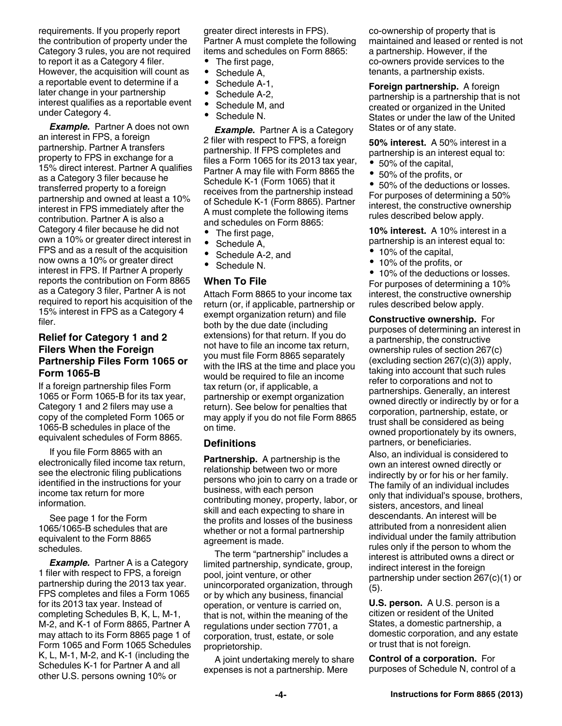<span id="page-3-0"></span>requirements. If you properly report the contribution of property under the Category 3 rules, you are not required to report it as a Category 4 filer. However, the acquisition will count as a reportable event to determine if a later change in your partnership interest qualifies as a reportable event under Category 4.

*Example.* Partner A does not own an interest in FPS, a foreign partnership. Partner A transfers property to FPS in exchange for a 15% direct interest. Partner A qualifies as a Category 3 filer because he transferred property to a foreign partnership and owned at least a 10% interest in FPS immediately after the contribution. Partner A is also a Category 4 filer because he did not own a 10% or greater direct interest in FPS and as a result of the acquisition now owns a 10% or greater direct interest in FPS. If Partner A properly reports the contribution on Form 8865 as a Category 3 filer, Partner A is not required to report his acquisition of the 15% interest in FPS as a Category 4 filer.

### **Relief for Category 1 and 2 Filers When the Foreign Partnership Files Form 1065 or Form 1065-B**

If a foreign partnership files Form 1065 or Form 1065-B for its tax year, Category 1 and 2 filers may use a copy of the completed Form 1065 or 1065-B schedules in place of the equivalent schedules of Form 8865.

If you file Form 8865 with an electronically filed income tax return, see the electronic filing publications identified in the instructions for your income tax return for more information.

See page 1 for the Form 1065/1065-B schedules that are equivalent to the Form 8865 schedules.

*Example.* Partner A is a Category 1 filer with respect to FPS, a foreign partnership during the 2013 tax year. FPS completes and files a Form 1065 for its 2013 tax year. Instead of completing Schedules B, K, L, M-1, M-2, and K-1 of Form 8865, Partner A may attach to its Form 8865 page 1 of Form 1065 and Form 1065 Schedules K, L, M-1, M-2, and K-1 (including the Schedules K-1 for Partner A and all other U.S. persons owning 10% or

greater direct interests in FPS). Partner A must complete the following items and schedules on Form 8865:

- The first page,
- Schedule A,
- Schedule A-1,
- Schedule A-2,
- Schedule M, and
- Schedule N.

*Example.* Partner A is a Category 2 filer with respect to FPS, a foreign partnership. If FPS completes and files a Form 1065 for its 2013 tax year, Partner A may file with Form 8865 the Schedule K-1 (Form 1065) that it receives from the partnership instead of Schedule K-1 (Form 8865). Partner A must complete the following items and schedules on Form 8865:

- The first page,
- $\bullet$ Schedule A,
- $\bullet$ Schedule A-2, and
- Schedule N.

#### **When To File**

Attach Form 8865 to your income tax return (or, if applicable, partnership or exempt organization return) and file both by the due date (including extensions) for that return. If you do not have to file an income tax return, you must file Form 8865 separately with the IRS at the time and place you would be required to file an income tax return (or, if applicable, a partnership or exempt organization return). See below for penalties that may apply if you do not file Form 8865 on time.

### **Definitions**

**Partnership.** A partnership is the relationship between two or more persons who join to carry on a trade or business, with each person contributing money, property, labor, or skill and each expecting to share in the profits and losses of the business whether or not a formal partnership agreement is made.

The term "partnership" includes a limited partnership, syndicate, group, pool, joint venture, or other unincorporated organization, through or by which any business, financial operation, or venture is carried on, that is not, within the meaning of the regulations under section 7701, a corporation, trust, estate, or sole proprietorship.

A joint undertaking merely to share expenses is not a partnership. Mere

co-ownership of property that is maintained and leased or rented is not a partnership. However, if the co-owners provide services to the tenants, a partnership exists.

**Foreign partnership.** A foreign partnership is a partnership that is not created or organized in the United States or under the law of the United States or of any state.

**50% interest.** A 50% interest in a partnership is an interest equal to:

- 50% of the capital,
- 50% of the profits, or

50% of the deductions or losses. For purposes of determining a 50% interest, the constructive ownership rules described below apply.

**10% interest.** A 10% interest in a partnership is an interest equal to:

- 10% of the capital,
- 10% of the profits, or

• 10% of the deductions or losses. For purposes of determining a 10% interest, the constructive ownership rules described below apply.

**Constructive ownership.** For purposes of determining an interest in a partnership, the constructive ownership rules of section 267(c) (excluding section 267(c)(3)) apply, taking into account that such rules refer to corporations and not to partnerships. Generally, an interest owned directly or indirectly by or for a corporation, partnership, estate, or trust shall be considered as being owned proportionately by its owners, partners, or beneficiaries.

Also, an individual is considered to own an interest owned directly or indirectly by or for his or her family. The family of an individual includes only that individual's spouse, brothers, sisters, ancestors, and lineal descendants. An interest will be attributed from a nonresident alien individual under the family attribution rules only if the person to whom the interest is attributed owns a direct or indirect interest in the foreign partnership under section 267(c)(1) or (5).

**U.S. person.** A U.S. person is a citizen or resident of the United States, a domestic partnership, a domestic corporation, and any estate or trust that is not foreign.

**Control of a corporation.** For purposes of Schedule N, control of a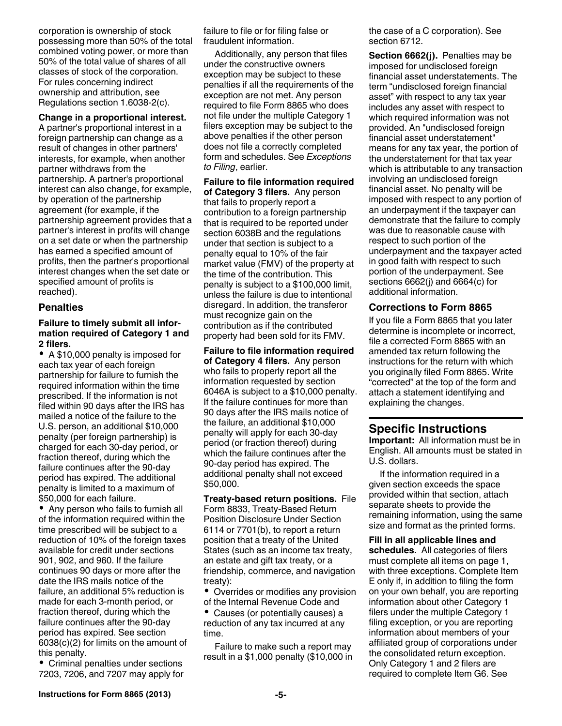<span id="page-4-0"></span>corporation is ownership of stock possessing more than 50% of the total combined voting power, or more than 50% of the total value of shares of all classes of stock of the corporation. For rules concerning indirect ownership and attribution, see Regulations section 1.6038-2(c).

#### **Change in a proportional interest.**

A partner's proportional interest in a foreign partnership can change as a result of changes in other partners' interests, for example, when another partner withdraws from the partnership. A partner's proportional interest can also change, for example, by operation of the partnership agreement (for example, if the partnership agreement provides that a partner's interest in profits will change on a set date or when the partnership has earned a specified amount of profits, then the partner's proportional interest changes when the set date or specified amount of profits is reached).

#### **Penalties**

#### **Failure to timely submit all information required of Category 1 and 2 filers.**

A \$10,000 penalty is imposed for each tax year of each foreign partnership for failure to furnish the required information within the time prescribed. If the information is not filed within 90 days after the IRS has mailed a notice of the failure to the U.S. person, an additional \$10,000 penalty (per foreign partnership) is charged for each 30-day period, or fraction thereof, during which the failure continues after the 90-day period has expired. The additional penalty is limited to a maximum of \$50,000 for each failure.

• Any person who fails to furnish all of the information required within the time prescribed will be subject to a reduction of 10% of the foreign taxes available for credit under sections 901, 902, and 960. If the failure continues 90 days or more after the date the IRS mails notice of the failure, an additional 5% reduction is made for each 3-month period, or fraction thereof, during which the failure continues after the 90-day period has expired. See section 6038(c)(2) for limits on the amount of this penalty.

Criminal penalties under sections 7203, 7206, and 7207 may apply for

failure to file or for filing false or fraudulent information.

Additionally, any person that files under the constructive owners exception may be subject to these penalties if all the requirements of the exception are not met. Any person required to file Form 8865 who does not file under the multiple Category 1 filers exception may be subject to the above penalties if the other person does not file a correctly completed form and schedules. See *Exceptions to Filing*, earlier.

### **Failure to file information required**

**of Category 3 filers.** Any person that fails to properly report a contribution to a foreign partnership that is required to be reported under section 6038B and the regulations under that section is subject to a penalty equal to 10% of the fair market value (FMV) of the property at the time of the contribution. This penalty is subject to a \$100,000 limit, unless the failure is due to intentional disregard. In addition, the transferor must recognize gain on the contribution as if the contributed property had been sold for its FMV.

**Failure to file information required of Category 4 filers.** Any person who fails to properly report all the information requested by section 6046A is subject to a \$10,000 penalty. If the failure continues for more than 90 days after the IRS mails notice of the failure, an additional \$10,000 penalty will apply for each 30-day period (or fraction thereof) during which the failure continues after the 90-day period has expired. The additional penalty shall not exceed \$50,000.

**Treaty-based return positions.** File Form 8833, Treaty-Based Return Position Disclosure Under Section 6114 or 7701(b), to report a return position that a treaty of the United States (such as an income tax treaty, an estate and gift tax treaty, or a friendship, commerce, and navigation treaty):

Overrides or modifies any provision of the Internal Revenue Code and

Causes (or potentially causes) a reduction of any tax incurred at any time.

Failure to make such a report may result in a \$1,000 penalty (\$10,000 in the case of a C corporation). See section 6712.

**Section 6662(j).** Penalties may be imposed for undisclosed foreign financial asset understatements. The term "undisclosed foreign financial asset" with respect to any tax year includes any asset with respect to which required information was not provided. An "undisclosed foreign financial asset understatement" means for any tax year, the portion of the understatement for that tax year which is attributable to any transaction involving an undisclosed foreign financial asset. No penalty will be imposed with respect to any portion of an underpayment if the taxpayer can demonstrate that the failure to comply was due to reasonable cause with respect to such portion of the underpayment and the taxpayer acted in good faith with respect to such portion of the underpayment. See sections 6662(j) and 6664(c) for additional information.

#### **Corrections to Form 8865**

If you file a Form 8865 that you later determine is incomplete or incorrect, file a corrected Form 8865 with an amended tax return following the instructions for the return with which you originally filed Form 8865. Write "corrected" at the top of the form and attach a statement identifying and explaining the changes.

### **Specific Instructions**

**Important:** All information must be in English. All amounts must be stated in U.S. dollars.

If the information required in a given section exceeds the space provided within that section, attach separate sheets to provide the remaining information, using the same size and format as the printed forms.

**Fill in all applicable lines and schedules.** All categories of filers must complete all items on page 1, with three exceptions. Complete Item E only if, in addition to filing the form on your own behalf, you are reporting information about other Category 1 filers under the multiple Category 1 filing exception, or you are reporting information about members of your affiliated group of corporations under the consolidated return exception. Only Category 1 and 2 filers are required to complete Item G6. See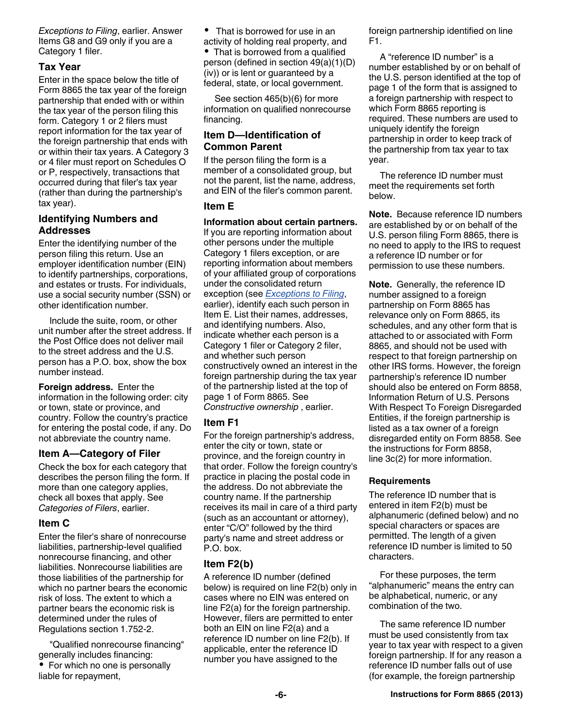<span id="page-5-0"></span>*Exceptions to Filing*, earlier. Answer Items G8 and G9 only if you are a Category 1 filer.

### **Tax Year**

Enter in the space below the title of Form 8865 the tax year of the foreign partnership that ended with or within the tax year of the person filing this form. Category 1 or 2 filers must report information for the tax year of the foreign partnership that ends with or within their tax years. A Category 3 or 4 filer must report on Schedules O or P, respectively, transactions that occurred during that filer's tax year (rather than during the partnership's tax year).

### **Identifying Numbers and Addresses**

Enter the identifying number of the person filing this return. Use an employer identification number (EIN) to identify partnerships, corporations, and estates or trusts. For individuals, use a social security number (SSN) or other identification number.

Include the suite, room, or other unit number after the street address. If the Post Office does not deliver mail to the street address and the U.S. person has a P.O. box, show the box number instead.

**Foreign address.** Enter the information in the following order: city or town, state or province, and country. Follow the country's practice for entering the postal code, if any. Do not abbreviate the country name.

### **Item A—Category of Filer**

Check the box for each category that describes the person filing the form. If more than one category applies, check all boxes that apply. See *Categories of Filers*, earlier.

### **Item C**

Enter the filer's share of nonrecourse liabilities, partnership-level qualified nonrecourse financing, and other liabilities. Nonrecourse liabilities are those liabilities of the partnership for which no partner bears the economic risk of loss. The extent to which a partner bears the economic risk is determined under the rules of Regulations section 1.752-2.

"Qualified nonrecourse financing" generally includes financing: • For which no one is personally liable for repayment,

• That is borrowed for use in an activity of holding real property, and

That is borrowed from a qualified person (defined in section 49(a)(1)(D) (iv)) or is lent or guaranteed by a federal, state, or local government.

See section 465(b)(6) for more information on qualified nonrecourse financing.

### **Item D—Identification of Common Parent**

If the person filing the form is a member of a consolidated group, but not the parent, list the name, address, and EIN of the filer's common parent.

### **Item E**

**Information about certain partners.** If you are reporting information about other persons under the multiple Category 1 filers exception, or are reporting information about members of your affiliated group of corporations under the consolidated return exception (see *[Exceptions to Filing](#page-2-0)*, earlier), identify each such person in Item E. List their names, addresses, and identifying numbers. Also, indicate whether each person is a Category 1 filer or Category 2 filer, and whether such person constructively owned an interest in the foreign partnership during the tax year of the partnership listed at the top of page 1 of Form 8865. See *Constructive ownership* , earlier.

### **Item F1**

For the foreign partnership's address, enter the city or town, state or province, and the foreign country in that order. Follow the foreign country's practice in placing the postal code in the address. Do not abbreviate the country name. If the partnership receives its mail in care of a third party (such as an accountant or attorney), enter "C/O" followed by the third party's name and street address or P.O. box.

### **Item F2(b)**

A reference ID number (defined below) is required on line F2(b) only in cases where no EIN was entered on line F2(a) for the foreign partnership. However, filers are permitted to enter both an EIN on line F2(a) and a reference ID number on line F2(b). If applicable, enter the reference ID number you have assigned to the

foreign partnership identified on line F1.

A "reference ID number" is a number established by or on behalf of the U.S. person identified at the top of page 1 of the form that is assigned to a foreign partnership with respect to which Form 8865 reporting is required. These numbers are used to uniquely identify the foreign partnership in order to keep track of the partnership from tax year to tax year.

The reference ID number must meet the requirements set forth below.

**Note.** Because reference ID numbers are established by or on behalf of the U.S. person filing Form 8865, there is no need to apply to the IRS to request a reference ID number or for permission to use these numbers.

**Note.** Generally, the reference ID number assigned to a foreign partnership on Form 8865 has relevance only on Form 8865, its schedules, and any other form that is attached to or associated with Form 8865, and should not be used with respect to that foreign partnership on other IRS forms. However, the foreign partnership's reference ID number should also be entered on Form 8858, Information Return of U.S. Persons With Respect To Foreign Disregarded Entities, if the foreign partnership is listed as a tax owner of a foreign disregarded entity on Form 8858. See the instructions for Form 8858, line 3c(2) for more information.

### **Requirements**

The reference ID number that is entered in item F2(b) must be alphanumeric (defined below) and no special characters or spaces are permitted. The length of a given reference ID number is limited to 50 characters.

For these purposes, the term "alphanumeric" means the entry can be alphabetical, numeric, or any combination of the two.

The same reference ID number must be used consistently from tax year to tax year with respect to a given foreign partnership. If for any reason a reference ID number falls out of use (for example, the foreign partnership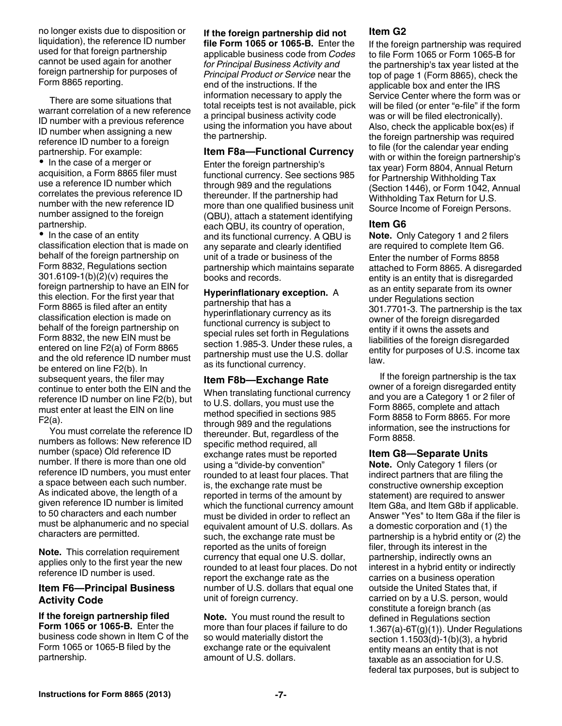<span id="page-6-0"></span>no longer exists due to disposition or liquidation), the reference ID number used for that foreign partnership cannot be used again for another foreign partnership for purposes of Form 8865 reporting.

There are some situations that warrant correlation of a new reference ID number with a previous reference ID number when assigning a new reference ID number to a foreign partnership. For example:

• In the case of a merger or acquisition, a Form 8865 filer must use a reference ID number which correlates the previous reference ID number with the new reference ID number assigned to the foreign partnership.

• In the case of an entity classification election that is made on behalf of the foreign partnership on Form 8832, Regulations section 301.6109-1(b)(2)(v) requires the foreign partnership to have an EIN for this election. For the first year that Form 8865 is filed after an entity classification election is made on behalf of the foreign partnership on Form 8832, the new EIN must be entered on line F2(a) of Form 8865 and the old reference ID number must be entered on line F2(b). In subsequent years, the filer may continue to enter both the EIN and the reference ID number on line F2(b), but must enter at least the EIN on line F2(a).

You must correlate the reference ID numbers as follows: New reference ID number (space) Old reference ID number. If there is more than one old reference ID numbers, you must enter a space between each such number. As indicated above, the length of a given reference ID number is limited to 50 characters and each number must be alphanumeric and no special characters are permitted.

**Note.** This correlation requirement applies only to the first year the new reference ID number is used.

### **Item F6—Principal Business Activity Code**

**If the foreign partnership filed Form 1065 or 1065-B.** Enter the business code shown in Item C of the Form 1065 or 1065-B filed by the partnership.

# **If the foreign partnership did not**

**file Form 1065 or 1065-B.** Enter the applicable business code from *Codes for Principal Business Activity and Principal Product or Service* near the end of the instructions. If the information necessary to apply the total receipts test is not available, pick a principal business activity code using the information you have about the partnership.

#### **Item F8a—Functional Currency**

Enter the foreign partnership's functional currency. See sections 985 through 989 and the regulations thereunder. If the partnership had more than one qualified business unit (QBU), attach a statement identifying each QBU, its country of operation, and its functional currency. A QBU is any separate and clearly identified unit of a trade or business of the partnership which maintains separate books and records.

### **Hyperinflationary exception.** A

partnership that has a hyperinflationary currency as its functional currency is subject to special rules set forth in Regulations section 1.985-3. Under these rules, a partnership must use the U.S. dollar as its functional currency.

### **Item F8b—Exchange Rate**

When translating functional currency to U.S. dollars, you must use the method specified in sections 985 through 989 and the regulations thereunder. But, regardless of the specific method required, all exchange rates must be reported using a "divide-by convention" rounded to at least four places. That is, the exchange rate must be reported in terms of the amount by which the functional currency amount must be divided in order to reflect an equivalent amount of U.S. dollars. As such, the exchange rate must be reported as the units of foreign currency that equal one U.S. dollar, rounded to at least four places. Do not report the exchange rate as the number of U.S. dollars that equal one unit of foreign currency.

**Note.** You must round the result to more than four places if failure to do so would materially distort the exchange rate or the equivalent amount of U.S. dollars.

### **Item G2**

If the foreign partnership was required to file Form 1065 or Form 1065-B for the partnership's tax year listed at the top of page 1 (Form 8865), check the applicable box and enter the IRS Service Center where the form was or will be filed (or enter "e-file" if the form was or will be filed electronically). Also, check the applicable box(es) if the foreign partnership was required to file (for the calendar year ending with or within the foreign partnership's tax year) Form 8804, Annual Return for Partnership Withholding Tax (Section 1446), or Form 1042, Annual Withholding Tax Return for U.S. Source Income of Foreign Persons.

### **Item G6**

**Note.** Only Category 1 and 2 filers are required to complete Item G6. Enter the number of Forms 8858 attached to Form 8865. A disregarded entity is an entity that is disregarded as an entity separate from its owner under Regulations section 301.7701-3. The partnership is the tax owner of the foreign disregarded entity if it owns the assets and liabilities of the foreign disregarded entity for purposes of U.S. income tax law.

If the foreign partnership is the tax owner of a foreign disregarded entity and you are a Category 1 or 2 filer of Form 8865, complete and attach Form 8858 to Form 8865. For more information, see the instructions for Form 8858.

### **Item G8—Separate Units**

**Note.** Only Category 1 filers (or indirect partners that are filing the constructive ownership exception statement) are required to answer Item G8a, and Item G8b if applicable. Answer "Yes" to Item G8a if the filer is a domestic corporation and (1) the partnership is a hybrid entity or (2) the filer, through its interest in the partnership, indirectly owns an interest in a hybrid entity or indirectly carries on a business operation outside the United States that, if carried on by a U.S. person, would constitute a foreign branch (as defined in Regulations section 1.367(a)-6T(g)(1)). Under Regulations section 1.1503(d)-1(b)(3), a hybrid entity means an entity that is not taxable as an association for U.S. federal tax purposes, but is subject to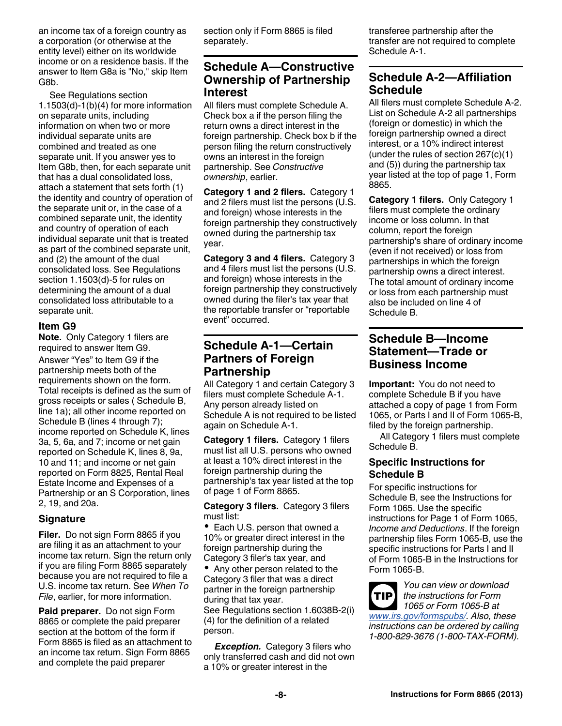<span id="page-7-0"></span>an income tax of a foreign country as a corporation (or otherwise at the entity level) either on its worldwide income or on a residence basis. If the answer to Item G8a is "No," skip Item G8b.

See Regulations section 1.1503(d)-1(b)(4) for more information on separate units, including information on when two or more individual separate units are combined and treated as one separate unit. If you answer yes to Item G8b, then, for each separate unit that has a dual consolidated loss, attach a statement that sets forth (1) the identity and country of operation of the separate unit or, in the case of a combined separate unit, the identity and country of operation of each individual separate unit that is treated as part of the combined separate unit, and (2) the amount of the dual consolidated loss. See Regulations section 1.1503(d)-5 for rules on determining the amount of a dual consolidated loss attributable to a separate unit.

#### **Item G9**

**Note.** Only Category 1 filers are required to answer Item G9.

Answer "Yes" to Item G9 if the partnership meets both of the requirements shown on the form. Total receipts is defined as the sum of gross receipts or sales ( Schedule B, line 1a); all other income reported on Schedule B (lines 4 through 7); income reported on Schedule K, lines 3a, 5, 6a, and 7; income or net gain reported on Schedule K, lines 8, 9a, 10 and 11; and income or net gain reported on Form 8825, Rental Real Estate Income and Expenses of a Partnership or an S Corporation, lines 2, 19, and 20a.

### **Signature**

**Filer.** Do not sign Form 8865 if you are filing it as an attachment to your income tax return. Sign the return only if you are filing Form 8865 separately because you are not required to file a U.S. income tax return. See *When To File*, earlier, for more information.

**Paid preparer.** Do not sign Form 8865 or complete the paid preparer section at the bottom of the form if Form 8865 is filed as an attachment to an income tax return. Sign Form 8865 and complete the paid preparer

section only if Form 8865 is filed separately.

### **Schedule A—Constructive Ownership of Partnership Interest**

All filers must complete Schedule A. Check box a if the person filing the return owns a direct interest in the foreign partnership. Check box b if the person filing the return constructively owns an interest in the foreign partnership. See *Constructive ownership*, earlier.

**Category 1 and 2 filers.** Category 1 and 2 filers must list the persons (U.S. and foreign) whose interests in the foreign partnership they constructively owned during the partnership tax year.

**Category 3 and 4 filers.** Category 3 and 4 filers must list the persons (U.S. and foreign) whose interests in the foreign partnership they constructively owned during the filer's tax year that the reportable transfer or "reportable event" occurred.

### **Schedule A-1—Certain Partners of Foreign Partnership**

All Category 1 and certain Category 3 filers must complete Schedule A-1. Any person already listed on Schedule A is not required to be listed again on Schedule A-1.

**Category 1 filers.** Category 1 filers must list all U.S. persons who owned at least a 10% direct interest in the foreign partnership during the partnership's tax year listed at the top of page 1 of Form 8865.

**Category 3 filers.** Category 3 filers must list:

• Each U.S. person that owned a 10% or greater direct interest in the foreign partnership during the Category 3 filer's tax year, and

• Any other person related to the Category 3 filer that was a direct partner in the foreign partnership during that tax year.

See Regulations section 1.6038B-2(i) (4) for the definition of a related person.

*Exception.* Category 3 filers who only transferred cash and did not own a 10% or greater interest in the

transferee partnership after the transfer are not required to complete Schedule A-1.

### **Schedule A-2—Affiliation Schedule**

All filers must complete Schedule A-2. List on Schedule A-2 all partnerships (foreign or domestic) in which the foreign partnership owned a direct interest, or a 10% indirect interest (under the rules of section 267(c)(1) and (5)) during the partnership tax year listed at the top of page 1, Form 8865.

**Category 1 filers.** Only Category 1 filers must complete the ordinary income or loss column. In that column, report the foreign partnership's share of ordinary income (even if not received) or loss from partnerships in which the foreign partnership owns a direct interest. The total amount of ordinary income or loss from each partnership must also be included on line 4 of Schedule B.

### **Schedule B—Income Statement—Trade or Business Income**

**Important:** You do not need to complete Schedule B if you have attached a copy of page 1 from Form 1065, or Parts I and II of Form 1065-B, filed by the foreign partnership.

All Category 1 filers must complete Schedule B.

### **Specific Instructions for Schedule B**

For specific instructions for Schedule B, see the Instructions for Form 1065. Use the specific instructions for Page 1 of Form 1065, *Income and Deductions*. If the foreign partnership files Form 1065-B, use the specific instructions for Parts I and II of Form 1065-B in the Instructions for Form 1065-B.



*You can view or download the instructions for Form 1065 or Form 1065-B at [www.irs.gov/formspubs/](http://www.irs.gov/formspubs). Also, these instructions can be ordered by calling 1-800-829-3676 (1-800-TAX-FORM).*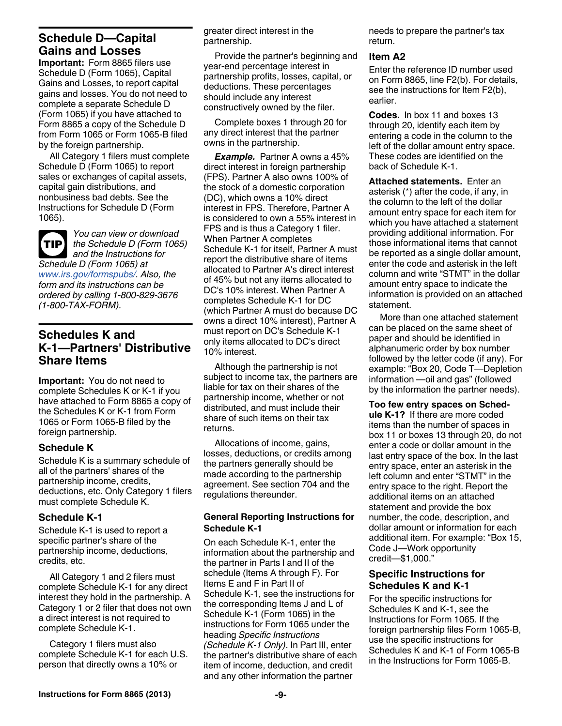### <span id="page-8-0"></span>**Schedule D—Capital Gains and Losses**

**Important:** Form 8865 filers use Schedule D (Form 1065), Capital Gains and Losses, to report capital gains and losses. You do not need to complete a separate Schedule D (Form 1065) if you have attached to Form 8865 a copy of the Schedule D from Form 1065 or Form 1065-B filed by the foreign partnership.

All Category 1 filers must complete Schedule D (Form 1065) to report sales or exchanges of capital assets, capital gain distributions, and nonbusiness bad debts. See the Instructions for Schedule D (Form 1065).

*You can view or download the Schedule D (Form 1065)*  **TIP** *and the Instructions for Schedule D (Form 1065) at* 

*[www.irs.gov/formspubs/](http://www.irs.gov/formspubs). Also, the form and its instructions can be ordered by calling 1-800-829-3676 (1-800-TAX-FORM).*

### **Schedules K and K-1—Partners' Distributive Share Items**

**Important:** You do not need to complete Schedules K or K-1 if you have attached to Form 8865 a copy of the Schedules K or K-1 from Form 1065 or Form 1065-B filed by the foreign partnership.

### **Schedule K**

Schedule K is a summary schedule of all of the partners' shares of the partnership income, credits, deductions, etc. Only Category 1 filers must complete Schedule K.

### **Schedule K-1**

Schedule K-1 is used to report a specific partner's share of the partnership income, deductions, credits, etc.

All Category 1 and 2 filers must complete Schedule K-1 for any direct interest they hold in the partnership. A Category 1 or 2 filer that does not own a direct interest is not required to complete Schedule K-1.

Category 1 filers must also complete Schedule K-1 for each U.S. person that directly owns a 10% or

greater direct interest in the partnership.

Provide the partner's beginning and year-end percentage interest in partnership profits, losses, capital, or deductions. These percentages should include any interest constructively owned by the filer.

Complete boxes 1 through 20 for any direct interest that the partner owns in the partnership.

*Example.* Partner A owns a 45% direct interest in foreign partnership (FPS). Partner A also owns 100% of the stock of a domestic corporation (DC), which owns a 10% direct interest in FPS. Therefore, Partner A is considered to own a 55% interest in FPS and is thus a Category 1 filer. When Partner A completes Schedule K-1 for itself, Partner A must report the distributive share of items allocated to Partner A's direct interest of 45% but not any items allocated to DC's 10% interest. When Partner A completes Schedule K-1 for DC (which Partner A must do because DC owns a direct 10% interest), Partner A must report on DC's Schedule K-1 only items allocated to DC's direct 10% interest.

Although the partnership is not subject to income tax, the partners are liable for tax on their shares of the partnership income, whether or not distributed, and must include their share of such items on their tax returns.

Allocations of income, gains, losses, deductions, or credits among the partners generally should be made according to the partnership agreement. See section 704 and the regulations thereunder.

### **General Reporting Instructions for Schedule K-1**

On each Schedule K-1, enter the information about the partnership and the partner in Parts I and II of the schedule (Items A through F). For Items E and F in Part II of Schedule K-1, see the instructions for the corresponding Items J and L of Schedule K-1 (Form 1065) in the instructions for Form 1065 under the heading *Specific Instructions (Schedule K-1 Only)*. In Part III, enter the partner's distributive share of each item of income, deduction, and credit and any other information the partner

needs to prepare the partner's tax return.

### **Item A2**

Enter the reference ID number used on Form 8865, line F2(b). For details, see the instructions for Item F2(b), earlier.

**Codes.** In box 11 and boxes 13 through 20, identify each item by entering a code in the column to the left of the dollar amount entry space. These codes are identified on the back of Schedule K-1.

**Attached statements.** Enter an asterisk (\*) after the code, if any, in the column to the left of the dollar amount entry space for each item for which you have attached a statement providing additional information. For those informational items that cannot be reported as a single dollar amount, enter the code and asterisk in the left column and write "STMT" in the dollar amount entry space to indicate the information is provided on an attached statement.

More than one attached statement can be placed on the same sheet of paper and should be identified in alphanumeric order by box number followed by the letter code (if any). For example: "Box 20, Code T—Depletion information —oil and gas" (followed by the information the partner needs).

### **Too few entry spaces on Sched-**

**ule K-1?** If there are more coded items than the number of spaces in box 11 or boxes 13 through 20, do not enter a code or dollar amount in the last entry space of the box. In the last entry space, enter an asterisk in the left column and enter "STMT" in the entry space to the right. Report the additional items on an attached statement and provide the box number, the code, description, and dollar amount or information for each additional item. For example: "Box 15, Code J—Work opportunity credit—\$1,000."

#### **Specific Instructions for Schedules K and K-1**

For the specific instructions for Schedules K and K-1, see the Instructions for Form 1065. If the foreign partnership files Form 1065-B, use the specific instructions for Schedules K and K-1 of Form 1065-B in the Instructions for Form 1065-B.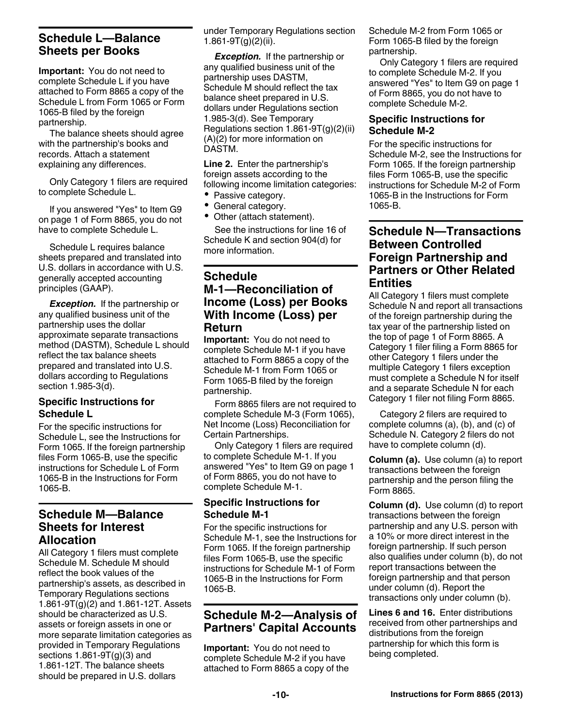### <span id="page-9-0"></span>**Schedule L—Balance Sheets per Books**

**Important:** You do not need to complete Schedule L if you have attached to Form 8865 a copy of the Schedule L from Form 1065 or Form 1065-B filed by the foreign partnership.

The balance sheets should agree with the partnership's books and records. Attach a statement explaining any differences.

Only Category 1 filers are required to complete Schedule L.

If you answered "Yes" to Item G9 on page 1 of Form 8865, you do not have to complete Schedule L.

Schedule L requires balance sheets prepared and translated into U.S. dollars in accordance with U.S. generally accepted accounting principles (GAAP).

*Exception.* If the partnership or any qualified business unit of the partnership uses the dollar approximate separate transactions method (DASTM), Schedule L should reflect the tax balance sheets prepared and translated into U.S. dollars according to Regulations section 1.985-3(d).

### **Specific Instructions for Schedule L**

For the specific instructions for Schedule L, see the Instructions for Form 1065. If the foreign partnership files Form 1065-B, use the specific instructions for Schedule L of Form 1065-B in the Instructions for Form 1065-B.

### **Schedule M—Balance Sheets for Interest Allocation**

All Category 1 filers must complete Schedule M. Schedule M should reflect the book values of the partnership's assets, as described in Temporary Regulations sections 1.861-9T(g)(2) and 1.861-12T. Assets should be characterized as U.S. assets or foreign assets in one or more separate limitation categories as provided in Temporary Regulations sections  $1.861 - 9T(g)(3)$  and 1.861-12T. The balance sheets should be prepared in U.S. dollars

under Temporary Regulations section 1.861-9T $(g)(2)(ii)$ .

*Exception.* If the partnership or any qualified business unit of the partnership uses DASTM, Schedule M should reflect the tax balance sheet prepared in U.S. dollars under Regulations section 1.985-3(d). See Temporary Regulations section 1.861-9T(g)(2)(ii) (A)(2) for more information on DASTM.

**Line 2.** Enter the partnership's foreign assets according to the following income limitation categories:

- Passive category.
- General category.
- Other (attach statement).

See the instructions for line 16 of Schedule K and section 904(d) for more information.

### **Schedule M-1—Reconciliation of Income (Loss) per Books With Income (Loss) per Return**

**Important:** You do not need to complete Schedule M-1 if you have attached to Form 8865 a copy of the Schedule M-1 from Form 1065 or Form 1065-B filed by the foreign partnership.

Form 8865 filers are not required to complete Schedule M-3 (Form 1065), Net Income (Loss) Reconciliation for Certain Partnerships.

Only Category 1 filers are required to complete Schedule M-1. If you answered "Yes" to Item G9 on page 1 of Form 8865, you do not have to complete Schedule M-1.

### **Specific Instructions for Schedule M-1**

For the specific instructions for Schedule M-1, see the Instructions for Form 1065. If the foreign partnership files Form 1065-B, use the specific instructions for Schedule M-1 of Form 1065-B in the Instructions for Form 1065-B.

### **Schedule M-2—Analysis of Partners' Capital Accounts**

**Important:** You do not need to complete Schedule M-2 if you have attached to Form 8865 a copy of the Schedule M-2 from Form 1065 or Form 1065-B filed by the foreign partnership.

Only Category 1 filers are required to complete Schedule M-2. If you answered "Yes" to Item G9 on page 1 of Form 8865, you do not have to complete Schedule M-2.

### **Specific Instructions for Schedule M-2**

For the specific instructions for Schedule M-2, see the Instructions for Form 1065. If the foreign partnership files Form 1065-B, use the specific instructions for Schedule M-2 of Form 1065-B in the Instructions for Form 1065-B.

### **Schedule N—Transactions Between Controlled Foreign Partnership and Partners or Other Related Entities**

All Category 1 filers must complete Schedule N and report all transactions of the foreign partnership during the tax year of the partnership listed on the top of page 1 of Form 8865. A Category 1 filer filing a Form 8865 for other Category 1 filers under the multiple Category 1 filers exception must complete a Schedule N for itself and a separate Schedule N for each Category 1 filer not filing Form 8865.

Category 2 filers are required to complete columns (a), (b), and (c) of Schedule N. Category 2 filers do not have to complete column (d).

**Column (a).** Use column (a) to report transactions between the foreign partnership and the person filing the Form 8865.

**Column (d).** Use column (d) to report transactions between the foreign partnership and any U.S. person with a 10% or more direct interest in the foreign partnership. If such person also qualifies under column (b), do not report transactions between the foreign partnership and that person under column (d). Report the transactions only under column (b).

**Lines 6 and 16.** Enter distributions received from other partnerships and distributions from the foreign partnership for which this form is being completed.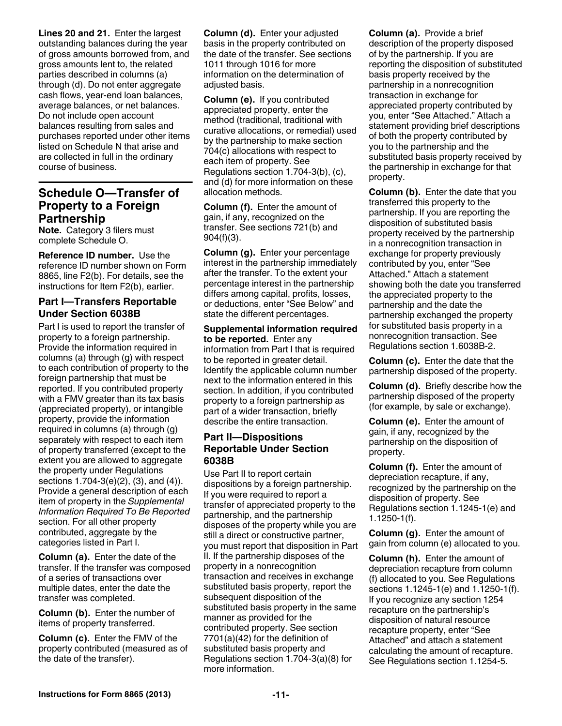<span id="page-10-0"></span>**Lines 20 and 21.** Enter the largest outstanding balances during the year of gross amounts borrowed from, and gross amounts lent to, the related parties described in columns (a) through (d). Do not enter aggregate cash flows, year-end loan balances, average balances, or net balances. Do not include open account balances resulting from sales and purchases reported under other items listed on Schedule N that arise and are collected in full in the ordinary course of business.

### **Schedule O—Transfer of Property to a Foreign Partnership**

**Note.** Category 3 filers must complete Schedule O.

**Reference ID number.** Use the reference ID number shown on Form 8865, line F2(b). For details, see the instructions for Item F2(b), earlier.

### **Part I—Transfers Reportable Under Section 6038B**

Part I is used to report the transfer of property to a foreign partnership. Provide the information required in columns (a) through (g) with respect to each contribution of property to the foreign partnership that must be reported. If you contributed property with a FMV greater than its tax basis (appreciated property), or intangible property, provide the information required in columns (a) through (g) separately with respect to each item of property transferred (except to the extent you are allowed to aggregate the property under Regulations sections 1.704-3(e)(2), (3), and (4)). Provide a general description of each item of property in the *Supplemental Information Required To Be Reported*  section. For all other property contributed, aggregate by the categories listed in Part I.

**Column (a).** Enter the date of the transfer. If the transfer was composed of a series of transactions over multiple dates, enter the date the transfer was completed.

**Column (b).** Enter the number of items of property transferred.

**Column (c).** Enter the FMV of the property contributed (measured as of the date of the transfer).

**Column (d).** Enter your adjusted basis in the property contributed on the date of the transfer. See sections 1011 through 1016 for more information on the determination of adiusted basis.

**Column (e).** If you contributed appreciated property, enter the method (traditional, traditional with curative allocations, or remedial) used by the partnership to make section 704(c) allocations with respect to each item of property. See Regulations section 1.704-3(b), (c), and (d) for more information on these allocation methods.

**Column (f).** Enter the amount of gain, if any, recognized on the transfer. See sections 721(b) and 904(f)(3).

**Column (g).** Enter your percentage interest in the partnership immediately after the transfer. To the extent your percentage interest in the partnership differs among capital, profits, losses, or deductions, enter "See Below" and state the different percentages.

**Supplemental information required to be reported.** Enter any information from Part I that is required to be reported in greater detail. Identify the applicable column number next to the information entered in this section. In addition, if you contributed property to a foreign partnership as part of a wider transaction, briefly describe the entire transaction.

### **Part II—Dispositions Reportable Under Section 6038B**

Use Part II to report certain dispositions by a foreign partnership. If you were required to report a transfer of appreciated property to the partnership, and the partnership disposes of the property while you are still a direct or constructive partner, you must report that disposition in Part II. If the partnership disposes of the property in a nonrecognition transaction and receives in exchange substituted basis property, report the subsequent disposition of the substituted basis property in the same manner as provided for the contributed property. See section 7701(a)(42) for the definition of substituted basis property and Regulations section 1.704-3(a)(8) for more information.

**Column (a).** Provide a brief description of the property disposed of by the partnership. If you are reporting the disposition of substituted basis property received by the partnership in a nonrecognition transaction in exchange for appreciated property contributed by you, enter "See Attached." Attach a statement providing brief descriptions of both the property contributed by you to the partnership and the substituted basis property received by the partnership in exchange for that property.

**Column (b).** Enter the date that you transferred this property to the partnership. If you are reporting the disposition of substituted basis property received by the partnership in a nonrecognition transaction in exchange for property previously contributed by you, enter "See Attached." Attach a statement showing both the date you transferred the appreciated property to the partnership and the date the partnership exchanged the property for substituted basis property in a nonrecognition transaction. See Regulations section 1.6038B-2.

**Column (c).** Enter the date that the partnership disposed of the property.

**Column (d).** Briefly describe how the partnership disposed of the property (for example, by sale or exchange).

**Column (e).** Enter the amount of gain, if any, recognized by the partnership on the disposition of property.

**Column (f).** Enter the amount of depreciation recapture, if any, recognized by the partnership on the disposition of property. See Regulations section 1.1245-1(e) and 1.1250-1(f).

**Column (g).** Enter the amount of gain from column (e) allocated to you.

**Column (h).** Enter the amount of depreciation recapture from column (f) allocated to you. See Regulations sections 1.1245-1(e) and 1.1250-1(f). If you recognize any section 1254 recapture on the partnership's disposition of natural resource recapture property, enter "See Attached" and attach a statement calculating the amount of recapture. See Regulations section 1.1254-5.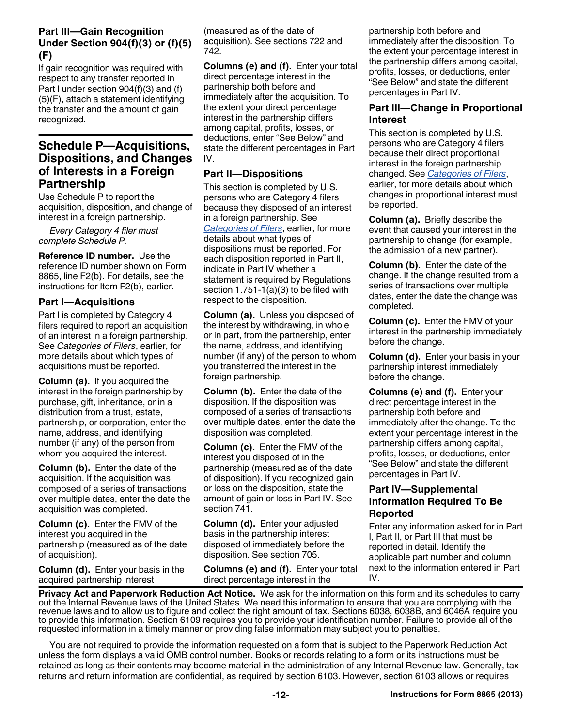### <span id="page-11-0"></span>**Part III—Gain Recognition Under Section 904(f)(3) or (f)(5) (F)**

If gain recognition was required with respect to any transfer reported in Part I under section 904(f)(3) and (f) (5)(F), attach a statement identifying the transfer and the amount of gain recognized.

### **Schedule P—Acquisitions, Dispositions, and Changes of Interests in a Foreign Partnership**

Use Schedule P to report the acquisition, disposition, and change of interest in a foreign partnership.

*Every Category 4 filer must complete Schedule P.*

**Reference ID number.** Use the reference ID number shown on Form 8865, line F2(b). For details, see the instructions for Item F2(b), earlier.

### **Part I—Acquisitions**

Part I is completed by Category 4 filers required to report an acquisition of an interest in a foreign partnership. See *Categories of Filers*, earlier, for more details about which types of acquisitions must be reported.

**Column (a).** If you acquired the interest in the foreign partnership by purchase, gift, inheritance, or in a distribution from a trust, estate, partnership, or corporation, enter the name, address, and identifying number (if any) of the person from whom you acquired the interest.

**Column (b).** Enter the date of the acquisition. If the acquisition was composed of a series of transactions over multiple dates, enter the date the acquisition was completed.

**Column (c).** Enter the FMV of the interest you acquired in the partnership (measured as of the date of acquisition).

**Column (d).** Enter your basis in the acquired partnership interest

(measured as of the date of acquisition). See sections 722 and 742.

**Columns (e) and (f).** Enter your total direct percentage interest in the partnership both before and immediately after the acquisition. To the extent your direct percentage interest in the partnership differs among capital, profits, losses, or deductions, enter "See Below" and state the different percentages in Part IV.

### **Part II—Dispositions**

This section is completed by U.S. persons who are Category 4 filers because they disposed of an interest in a foreign partnership. See *[Categories of Filers](#page-1-0)*, earlier, for more details about what types of dispositions must be reported. For each disposition reported in Part II, indicate in Part IV whether a statement is required by Regulations section 1.751-1(a)(3) to be filed with respect to the disposition.

**Column (a).** Unless you disposed of the interest by withdrawing, in whole or in part, from the partnership, enter the name, address, and identifying number (if any) of the person to whom you transferred the interest in the foreign partnership.

**Column (b).** Enter the date of the disposition. If the disposition was composed of a series of transactions over multiple dates, enter the date the disposition was completed.

**Column (c).** Enter the FMV of the interest you disposed of in the partnership (measured as of the date of disposition). If you recognized gain or loss on the disposition, state the amount of gain or loss in Part IV. See section 741.

**Column (d).** Enter your adjusted basis in the partnership interest disposed of immediately before the disposition. See section 705.

**Columns (e) and (f).** Enter your total direct percentage interest in the

partnership both before and immediately after the disposition. To the extent your percentage interest in the partnership differs among capital, profits, losses, or deductions, enter "See Below" and state the different percentages in Part IV.

### **Part III—Change in Proportional Interest**

This section is completed by U.S. persons who are Category 4 filers because their direct proportional interest in the foreign partnership changed. See *[Categories of Filers](#page-1-0)*, earlier, for more details about which changes in proportional interest must be reported.

**Column (a).** Briefly describe the event that caused your interest in the partnership to change (for example, the admission of a new partner).

**Column (b).** Enter the date of the change. If the change resulted from a series of transactions over multiple dates, enter the date the change was completed.

**Column (c).** Enter the FMV of your interest in the partnership immediately before the change.

**Column (d).** Enter your basis in your partnership interest immediately before the change.

**Columns (e) and (f).** Enter your direct percentage interest in the partnership both before and immediately after the change. To the extent your percentage interest in the partnership differs among capital, profits, losses, or deductions, enter "See Below" and state the different percentages in Part IV.

### **Part IV—Supplemental Information Required To Be Reported**

Enter any information asked for in Part I, Part II, or Part III that must be reported in detail. Identify the applicable part number and column next to the information entered in Part IV.

**Privacy Act and Paperwork Reduction Act Notice.** We ask for the information on this form and its schedules to carry out the Internal Revenue laws of the United States. We need this information to ensure that you are complying with the revenue laws and to allow us to figure and collect the right amount of tax. Sections 6038, 6038B, and 6046A require you to provide this information. Section 6109 requires you to provide your identification number. Failure to provide all of the requested information in a timely manner or providing false information may subject you to penalties.

You are not required to provide the information requested on a form that is subject to the Paperwork Reduction Act unless the form displays a valid OMB control number. Books or records relating to a form or its instructions must be retained as long as their contents may become material in the administration of any Internal Revenue law. Generally, tax returns and return information are confidential, as required by section 6103. However, section 6103 allows or requires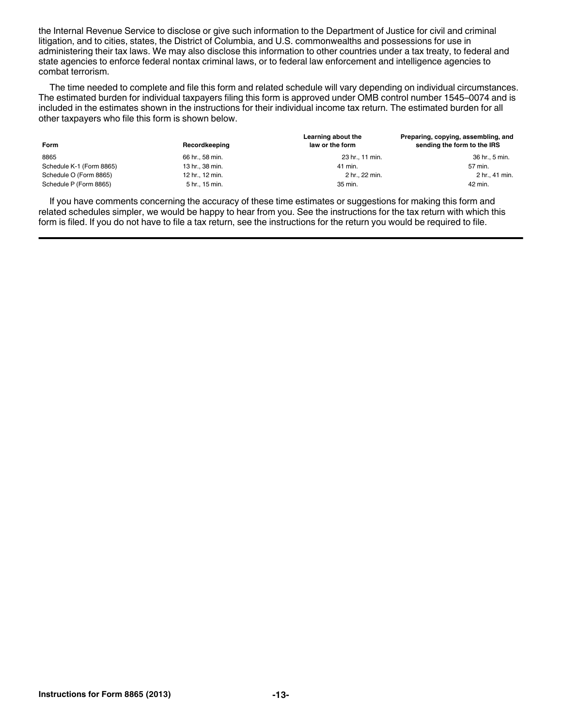the Internal Revenue Service to disclose or give such information to the Department of Justice for civil and criminal litigation, and to cities, states, the District of Columbia, and U.S. commonwealths and possessions for use in administering their tax laws. We may also disclose this information to other countries under a tax treaty, to federal and state agencies to enforce federal nontax criminal laws, or to federal law enforcement and intelligence agencies to combat terrorism.

The time needed to complete and file this form and related schedule will vary depending on individual circumstances. The estimated burden for individual taxpayers filing this form is approved under OMB control number 1545–0074 and is included in the estimates shown in the instructions for their individual income tax return. The estimated burden for all other taxpayers who file this form is shown below.

| Recordkeeping   | Learning about the<br>law or the form | Preparing, copying, assembling, and<br>sending the form to the IRS |
|-----------------|---------------------------------------|--------------------------------------------------------------------|
| 66 hr., 58 min. | 23 hr., 11 min.                       | 36 hr., 5 min.                                                     |
| 13 hr., 38 min. | 41 min.                               | 57 min.                                                            |
| 12 hr., 12 min. | 2 hr., 22 min.                        | 2 hr., 41 min.                                                     |
| 5 hr., 15 min.  | 35 min.                               | 42 min.                                                            |
|                 |                                       |                                                                    |

If you have comments concerning the accuracy of these time estimates or suggestions for making this form and related schedules simpler, we would be happy to hear from you. See the instructions for the tax return with which this form is filed. If you do not have to file a tax return, see the instructions for the return you would be required to file.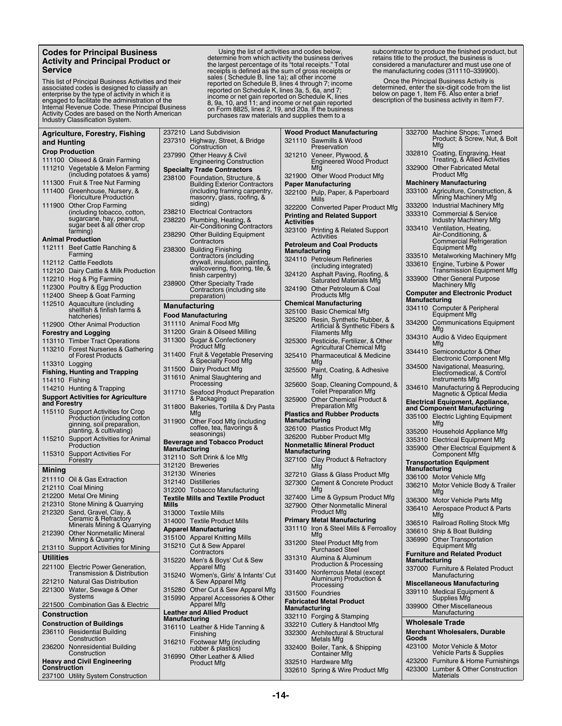#### **Codes for Principal Business Activity and Principal Product or Service**

This list of Principal Business Activities and their<br>associated codes is designed to classify an<br>enterprise by the type of activity in which it is<br>engaged to facilitate the administration of the<br>Internal Revenue Code. Thes

Using the list of activities and codes below,<br>determine from which activity the business derives<br>the largest percentage of its "otal receipts." Total<br>receipts is defined as the sum of gross receipts or<br>sales (Scheldue B, l purchases raw materials and supplies them to a

subcontractor to produce the finished product, but retains title to the product, the business is considered a manufacturer and must use one of the manufacturing codes (311110–339900).

Once the Principal Business Activity is determined, enter the six-digit code from the list below on page 1, Item F6. Also enter a brief description of the business activity in Item F7.

| Agriculture, Forestry, Fishing                                   |                      | 237210 Land Subdivision                                       |                      | <b>Wood Product Manufacturing</b>                                    |               | 332700 Machine Shops; Turned                                           |
|------------------------------------------------------------------|----------------------|---------------------------------------------------------------|----------------------|----------------------------------------------------------------------|---------------|------------------------------------------------------------------------|
| and Hunting                                                      |                      | 237310 Highway, Street, & Bridge                              |                      | 321110 Sawmills & Wood                                               |               | Product; & Screw, Nut, & Bolt<br>Mfg                                   |
| <b>Crop Production</b>                                           |                      | Construction                                                  |                      | Preservation                                                         |               | 332810 Coating, Engraving, Heat                                        |
| 111100 Oilseed & Grain Farming                                   |                      | 237990 Other Heavy & Civil<br><b>Engineering Construction</b> |                      | 321210 Veneer, Plywood, &<br><b>Engineered Wood Product</b>          |               | Treating, & Allied Activities                                          |
| 111210 Vegetable & Melon Farming                                 |                      | <b>Specialty Trade Contractors</b>                            |                      | Mfg                                                                  |               | 332900 Other Fabricated Metal                                          |
| (including potatoes & yams)                                      |                      | 238100 Foundation, Structure, &                               |                      | 321900 Other Wood Product Mfg                                        |               | <b>Product Mfg</b>                                                     |
| 111300 Fruit & Tree Nut Farming                                  |                      | <b>Building Exterior Contractors</b>                          |                      | <b>Paper Manufacturing</b>                                           |               | <b>Machinery Manufacturing</b>                                         |
| 111400 Greenhouse, Nursery, &                                    |                      | (including framing carpentry,                                 |                      | 322100 Pulp, Paper, & Paperboard                                     |               | 333100 Agriculture, Construction, &                                    |
| <b>Floriculture Production</b>                                   |                      | masonry, glass, roofing, &<br>siding)                         |                      | <b>Mills</b>                                                         |               | Mining Machinery Mfg                                                   |
| 111900 Other Crop Farming<br>(including tobacco, cotton,         |                      | 238210 Electrical Contractors                                 |                      | 322200 Converted Paper Product Mfg                                   |               | 333200 Industrial Machinery Mfg                                        |
| sugarcane, hay, peanut,                                          |                      | 238220 Plumbing, Heating, &                                   |                      | <b>Printing and Related Support</b>                                  |               | 333310 Commercial & Service<br>Industry Machinery Mfg                  |
| sugar beet & all other crop                                      |                      | Air-Conditioning Contractors                                  | <b>Activities</b>    | 323100 Printing & Related Support                                    |               | 333410 Ventilation, Heating,                                           |
| farming)                                                         |                      | 238290 Other Building Equipment                               |                      | Activities                                                           |               | Air-Conditioning, &                                                    |
| <b>Animal Production</b>                                         |                      | Contractors                                                   |                      | <b>Petroleum and Coal Products</b>                                   |               | <b>Commercial Refrigeration</b><br>Equipment Mfg                       |
| 112111 Beef Cattle Ranching &<br>Farming                         |                      | 238300 Building Finishing<br>Contractors (including           | Manufacturing        |                                                                      |               | 333510 Metalworking Machinery Mfg                                      |
| 112112 Cattle Feedlots                                           |                      | drywall, insulation, painting,                                |                      | 324110 Petroleum Refineries                                          |               | 333610 Engine, Turbine & Power                                         |
| 112120 Dairy Cattle & Milk Production                            |                      | wallcovering, flooring, tile, &                               |                      | (including integrated)                                               |               | <b>Transmission Equipment Mfg</b>                                      |
| 112210 Hog & Pig Farming                                         |                      | finish carpentry)                                             |                      | 324120 Asphalt Paving, Roofing, &<br><b>Saturated Materials Mfg</b>  |               | 333900 Other General Purpose                                           |
| 112300 Poultry & Egg Production                                  | 238900               | <b>Other Specialty Trade</b><br>Contractors (including site   |                      | 324190 Other Petroleum & Coal                                        |               | <b>Machinery Mfg</b>                                                   |
| 112400 Sheep & Goat Farming                                      |                      | preparation)                                                  |                      | <b>Products Mfg</b>                                                  |               | <b>Computer and Electronic Product</b>                                 |
| 112510 Aquaculture (including                                    |                      | Manufacturing                                                 |                      | <b>Chemical Manufacturing</b>                                        | Manufacturing |                                                                        |
| shellfish & finfish farms &<br>hatcheries)                       |                      | <b>Food Manufacturing</b>                                     |                      | 325100 Basic Chemical Mfg                                            |               | 334110 Computer & Peripheral<br><b>Equipment Mfg</b>                   |
| 112900 Other Animal Production                                   |                      | 311110 Animal Food Mfg                                        |                      | 325200 Resin, Synthetic Rubber, &                                    |               | 334200 Communications Equipment                                        |
| <b>Forestry and Logging</b>                                      |                      | 311200 Grain & Oilseed Milling                                |                      | Artificial & Synthetic Fibers &<br>Filaments Mfg                     |               | Mfg                                                                    |
| 113110 Timber Tract Operations                                   |                      | 311300 Sugar & Confectionery                                  |                      | 325300 Pesticide, Fertilizer, & Other                                |               | 334310 Audio & Video Equipment                                         |
| 113210 Forest Nurseries & Gathering                              |                      | <b>Product Mfg</b>                                            |                      | <b>Agricultural Chemical Mfg</b>                                     |               | Mfg                                                                    |
| of Forest Products                                               |                      | 311400 Fruit & Vegetable Preserving                           |                      | 325410 Pharmaceutical & Medicine                                     |               | 334410 Semiconductor & Other<br>Electronic Component Mfg               |
| 113310 Logging                                                   |                      | & Specialty Food Mfg<br>311500 Dairy Product Mfg              |                      | Mfg                                                                  |               | 334500 Navigational, Measuring,                                        |
| <b>Fishing, Hunting and Trapping</b>                             |                      | 311610 Animal Slaughtering and                                |                      | 325500 Paint, Coating, & Adhesive<br>Mfg                             |               | Electromedical, & Control                                              |
| 114110 Fishing                                                   |                      | Processing                                                    |                      | 325600 Soap, Cleaning Compound, &                                    |               | Instruments Mfg                                                        |
| 114210 Hunting & Trapping                                        |                      | 311710 Seafood Product Preparation                            |                      | <b>Toilet Preparation Mfg</b>                                        |               | 334610 Manufacturing & Reproducing<br>Magnetic & Optical Media         |
| <b>Support Activities for Agriculture</b><br>and Forestry        |                      | & Packaging                                                   |                      | 325900 Other Chemical Product &                                      |               | Electrical Equipment, Appliance,                                       |
| 115110 Support Activities for Crop                               |                      | 311800 Bakeries, Tortilla & Dry Pasta<br>Mfg                  |                      | <b>Preparation Mfg</b>                                               |               | and Component Manufacturing                                            |
| Production (including cotton                                     |                      | 311900 Other Food Mfg (including                              | Manufacturing        | <b>Plastics and Rubber Products</b>                                  |               | 335100 Electric Lighting Equipment                                     |
| ginning, soil preparation,                                       |                      | coffee, tea, flavorings &                                     |                      | 326100 Plastics Product Mfg                                          |               | Mfg                                                                    |
| planting, & cultivating)<br>115210 Support Activities for Animal |                      | seasonings)                                                   |                      | 326200 Rubber Product Mfg                                            |               | 335200 Household Appliance Mfg                                         |
| Production                                                       |                      | <b>Beverage and Tobacco Product</b>                           |                      | <b>Nonmetallic Mineral Product</b>                                   |               | 335310 Electrical Equipment Mfg<br>335900 Other Electrical Equipment & |
| 115310 Support Activities For                                    | Manufacturing        | 312110 Soft Drink & Ice Mfg                                   | <b>Manufacturing</b> |                                                                      |               | <b>Component Mfg</b>                                                   |
| Forestry                                                         |                      | 312120 Breweries                                              |                      | 327100 Clay Product & Refractory                                     |               | <b>Transportation Equipment</b>                                        |
| Mining                                                           |                      | 312130 Wineries                                               |                      | Mfg                                                                  | Manufacturing |                                                                        |
| 211110 Oil & Gas Extraction                                      |                      | 312140 Distilleries                                           |                      | 327210 Glass & Glass Product Mfg<br>327300 Cement & Concrete Product |               | 336100 Motor Vehicle Mfg                                               |
| 212110 Coal Mining                                               |                      | 312200 Tobacco Manufacturing                                  |                      | Mfg                                                                  |               | 336210 Motor Vehicle Body & Trailer                                    |
| 212200 Metal Ore Mining                                          |                      | <b>Textile Mills and Textile Product</b>                      |                      | 327400 Lime & Gypsum Product Mfg                                     |               | Mfg<br>336300 Motor Vehicle Parts Mfg                                  |
| 212310 Stone Mining & Quarrying                                  | Mills                |                                                               |                      | 327900 Other Nonmetallic Mineral                                     |               | 336410 Aerospace Product & Parts                                       |
| 212320 Sand, Gravel, Clay, &                                     |                      | 313000 Textile Mills                                          |                      | <b>Product Mfg</b>                                                   |               | Mfg                                                                    |
| Ceramic & Refractory<br>Minerals Mining & Quarrying              |                      | 314000 Textile Product Mills                                  |                      | <b>Primary Metal Manufacturing</b>                                   |               | 336510 Railroad Rolling Stock Mfg                                      |
| 212390 Other Nonmetallic Mineral                                 |                      | <b>Apparel Manufacturing</b>                                  |                      | 331110 Iron & Steel Mills & Ferroalloy<br>Mfg                        |               | 336610 Ship & Boat Building                                            |
| Mining & Quarrying                                               |                      | 315100 Apparel Knitting Mills                                 |                      | 331200 Steel Product Mfg from                                        |               | 336990 Other Transportation                                            |
| 213110 Support Activities for Mining                             |                      | 315210 Cut & Sew Apparel<br>Contractors                       |                      | <b>Purchased Steel</b>                                               |               | <b>Equipment Mfg</b>                                                   |
| Utilities                                                        |                      | 315220 Men's & Boys' Cut & Sew                                |                      | 331310 Alumina & Aluminum                                            | Manufacturing | <b>Furniture and Related Product</b>                                   |
| 221100 Electric Power Generation,                                |                      | Apparel Mfg                                                   |                      | <b>Production &amp; Processing</b>                                   |               | 337000 Furniture & Related Product                                     |
| <b>Transmission &amp; Distribution</b>                           |                      | 315240 Women's, Girls' & Infants' Cut                         |                      | 331400 Nonferrous Metal (except<br>Aluminum) Production &            |               | Manufacturing                                                          |
| 221210 Natural Gas Distribution                                  |                      | & Sew Apparel Mfg                                             |                      | Processing                                                           |               | <b>Miscellaneous Manufacturing</b>                                     |
| 221300 Water, Sewage & Other                                     |                      | 315280 Other Cut & Sew Apparel Mfg                            |                      | 331500 Foundries                                                     |               | 339110 Medical Equipment &                                             |
| Systems<br>221500 Combination Gas & Electric                     |                      | 315990 Apparel Accessories & Other<br>Apparel Mfg             |                      | <b>Fabricated Metal Product</b>                                      |               | Supplies Mfg                                                           |
|                                                                  |                      | <b>Leather and Allied Product</b>                             | <b>Manufacturing</b> |                                                                      |               | 339900 Other Miscellaneous<br>Manufacturing                            |
| Construction                                                     | <b>Manufacturing</b> |                                                               |                      | 332110 Forging & Stamping                                            |               | <b>Wholesale Trade</b>                                                 |
| <b>Construction of Buildings</b>                                 |                      | 316110 Leather & Hide Tanning &                               |                      | 332210 Cutlery & Handtool Mfg                                        |               |                                                                        |
| 236110 Residential Building<br>Construction                      |                      | Finishing                                                     |                      | 332300 Architectural & Structural<br>Metals Mfg                      | Goods         | <b>Merchant Wholesalers, Durable</b>                                   |
| 236200 Nonresidential Building                                   |                      | 316210 Footwear Mfg (including<br>rubber & plastics)          |                      | 332400 Boiler, Tank, & Shipping                                      |               | 423100 Motor Vehicle & Motor                                           |
| Construction                                                     |                      | 316990 Other Leather & Allied                                 |                      | <b>Container Mfg</b>                                                 |               | Vehicle Parts & Supplies                                               |
| <b>Heavy and Civil Engineering</b>                               |                      | <b>Product Mfg</b>                                            |                      | 332510 Hardware Mfg                                                  |               | 423200 Furniture & Home Furnishings                                    |
| Construction                                                     |                      |                                                               |                      | 332610 Spring & Wire Product Mfg                                     |               | 423300 Lumber & Other Construction                                     |
| 237100 Utility System Construction                               |                      |                                                               |                      |                                                                      |               | <b>Materials</b>                                                       |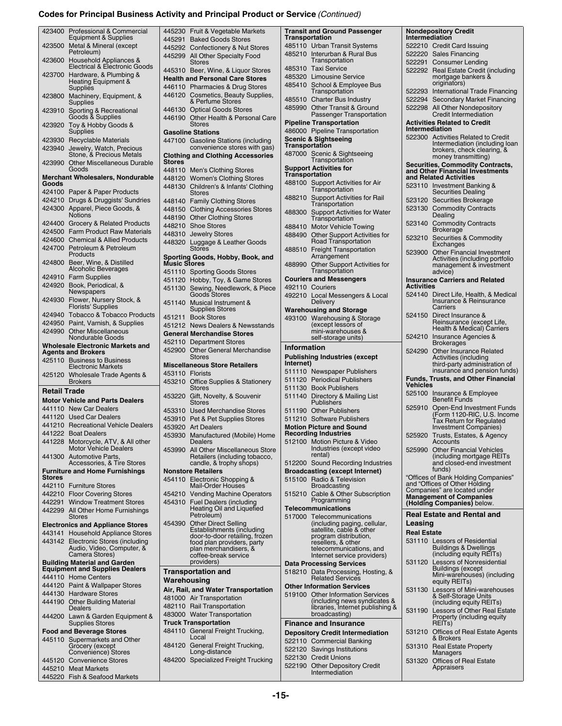### **Codes for Principal Business Activity and Principal Product or Service** *(Continued)*

| 423400                  | Professional & Commercial                                      | 445230           |
|-------------------------|----------------------------------------------------------------|------------------|
|                         | Equipment & Supplies                                           | 445291           |
| 423500                  | Metal & Mineral (except                                        | 445292           |
|                         | Petroleum)                                                     | 445299           |
| 423600                  | Household Appliances &                                         |                  |
| 423700                  | Electrical & Electronic Goods                                  | 445310           |
|                         | Hardware, & Plumbing &<br>Heating Equipment &                  | <b>Health</b>    |
|                         | <b>Supplies</b>                                                | 446110           |
| 423800                  | Machinery, Equipment, &                                        | 446120           |
|                         | Supplies                                                       |                  |
| 423910                  | Sporting & Recreational<br>Goods & Supplies                    | 446130<br>446190 |
| 423920                  | Toy & Hobby Goods &                                            |                  |
|                         | Supplies                                                       | Gasoli           |
| 423930                  | Recyclable Materials                                           | 447100           |
| 423940                  | Jewelry, Watch, Precious<br>Stone, & Precious Metals           |                  |
|                         |                                                                | <b>Clothir</b>   |
| 423990                  | <b>Other Miscellaneous Durable</b><br>Goods                    | Stores           |
|                         | Merchant Wholesalers, Nondurable                               | 448110<br>448120 |
| Goods                   |                                                                | 448130           |
| 424100                  | Paper & Paper Products                                         |                  |
| 424210                  | Drugs & Druggists' Sundries                                    | 448140           |
| 424300                  | Apparel, Piece Goods, &                                        | 448150           |
|                         | <b>Notions</b>                                                 | 448190           |
| 424400                  | <b>Grocery &amp; Related Products</b>                          | 448210           |
| 424500                  | <b>Farm Product Raw Materials</b>                              | 448310           |
| 424600                  | <b>Chemical &amp; Allied Products</b>                          | 448320           |
| 424700                  | Petroleum & Petroleum<br>Products                              |                  |
| 424800                  | Beer, Wine, & Distilled                                        | Sportii<br>Music |
|                         | <b>Alcoholic Beverages</b>                                     | 451110           |
| 424910                  | <b>Farm Supplies</b>                                           | 451120           |
| 424920                  | Book, Periodical, &                                            | 451130           |
|                         | Newspapers                                                     |                  |
| 424930                  | Flower, Nursery Stock, &<br>Florists' Supplies                 | 451140           |
| 424940                  | <b>Tobacco &amp; Tobacco Products</b>                          |                  |
| 424950                  | Paint, Varnish, & Supplies                                     | 451211           |
| 424990                  | <b>Other Miscellaneous</b>                                     | 451212           |
|                         | <b>Nondurable Goods</b>                                        | Genera           |
|                         | <b>Wholesale Electronic Markets and</b>                        | 452110           |
|                         |                                                                | 452900           |
|                         | <b>Agents and Brokers</b>                                      |                  |
| 425110                  | <b>Business to Business</b>                                    |                  |
|                         | <b>Electronic Markets</b>                                      | Miscel           |
| 425120                  | Wholesale Trade Agents &<br><b>Brokers</b>                     | 453110<br>453210 |
|                         |                                                                |                  |
| <b>Retail Trade</b>     |                                                                | 453220           |
|                         | <b>Motor Vehicle and Parts Dealers</b>                         |                  |
| 441110                  | <b>New Car Dealers</b>                                         | 453310           |
| 441120<br>441210        | <b>Used Car Dealers</b>                                        | 453910           |
| 441222                  | <b>Recreational Vehicle Dealers</b><br><b>Boat Dealers</b>     | 453920           |
| 441228                  |                                                                | 453930           |
|                         | Motorcycle, ATV, & All other<br><b>Motor Vehicle Dealers</b>   | 453990           |
| 441300                  | Automotive Parts,                                              |                  |
|                         | <b>Accessories, &amp; Tire Stores</b>                          |                  |
|                         | <b>Furniture and Home Furnishings</b>                          | <b>Nonsto</b>    |
| <b>Stores</b><br>442110 | <b>Furniture Stores</b>                                        | 454110           |
| 442210                  |                                                                | 454210           |
| 442291                  | <b>Floor Covering Stores</b><br><b>Window Treatment Stores</b> | 454310           |
| 442299                  | All Other Home Furnishings                                     |                  |
|                         | Stores                                                         |                  |
|                         | <b>Electronics and Appliance Stores</b>                        | 454390           |
| 443141                  | <b>Household Appliance Stores</b>                              |                  |
| 443142                  | Electronic Stores (including                                   |                  |
|                         | Audio, Video, Computer, &<br>Camera Stores)                    |                  |
|                         | <b>Building Material and Garden</b>                            |                  |
|                         | <b>Equipment and Supplies Dealers</b>                          | Trans            |
| 444110                  | <b>Home Centers</b>                                            | Wareł            |
| 444120                  | Paint & Wallpaper Stores                                       | Air, Ra          |
| 444130                  | <b>Hardware Stores</b>                                         | 481000           |
| 444190                  | <b>Other Building Material</b>                                 | 482110           |
|                         | Dealers                                                        | 483000           |
| 444200                  | Lawn & Garden Equipment &<br><b>Supplies Stores</b>            | Truck ˈ          |
|                         | <b>Food and Beverage Stores</b>                                | 484110           |
| 445110                  | Supermarkets and Other                                         |                  |
|                         | Grocery (except                                                | 484120           |
| 445120                  | Convenience) Stores                                            | 484200           |
| 445210                  | <b>Convenience Stores</b><br><b>Meat Markets</b>               |                  |

|                     | Fruit & Vegetable Markets                                |                       | <b>Transit and Ground Passenger</b>                          |
|---------------------|----------------------------------------------------------|-----------------------|--------------------------------------------------------------|
| 445291              | <b>Baked Goods Stores</b>                                | Transportation        | 485110 Urban Transit Systems                                 |
| 445292              | Confectionery & Nut Stores                               |                       | 485210 Interurban & Rural Bus                                |
| 445299              | All Other Specialty Food<br><b>Stores</b>                |                       | Transportation                                               |
| 445310              | Beer, Wine, & Liquor Stores                              |                       | 485310 Taxi Service                                          |
|                     | <b>Health and Personal Care Stores</b>                   |                       | 485320 Limousine Service                                     |
| 446110              | <b>Pharmacies &amp; Drug Stores</b>                      | 485410                | School & Employee Bus                                        |
| 446120              | Cosmetics, Beauty Supplies,                              |                       | Transportation                                               |
|                     | & Perfume Stores                                         |                       | 485510 Charter Bus Industry                                  |
| 446130              | <b>Optical Goods Stores</b>                              | 485990                | <b>Other Transit &amp; Ground</b>                            |
| 446190              | Other Health & Personal Care                             |                       | Passenger Transportatio                                      |
|                     | Stores                                                   |                       | <b>Pipeline Transportation</b>                               |
|                     | <b>Gasoline Stations</b>                                 |                       | 486000 Pipeline Transportation                               |
| 447100              | Gasoline Stations (including                             | Transportation        | <b>Scenic &amp; Sightseeing</b>                              |
|                     | convenience stores with gas)                             |                       | 487000 Scenic & Sightseeing                                  |
| <b>Stores</b>       | <b>Clothing and Clothing Accessories</b>                 |                       | Transportation                                               |
| 448110              | Men's Clothing Stores                                    |                       | <b>Support Activities for</b>                                |
| 448120              | <b>Women's Clothing Stores</b>                           | <b>Transportation</b> |                                                              |
| 448130              | Children's & Infants' Clothing                           | 488100                | <b>Support Activities for Air</b>                            |
|                     | Stores                                                   |                       | Transportation                                               |
| 448140              | <b>Family Clothing Stores</b>                            | 488210                | Support Activities for Ra<br>Transportation                  |
| 448150              | <b>Clothing Accessories Stores</b>                       | 488300                | <b>Support Activities for Wa</b>                             |
| 448190              | <b>Other Clothing Stores</b>                             |                       | Transportation                                               |
| 448210              | <b>Shoe Stores</b>                                       |                       | 488410 Motor Vehicle Towing                                  |
| 448310              | <b>Jewelry Stores</b>                                    | 488490                | <b>Other Support Activities</b>                              |
| 448320              | Luggage & Leather Goods                                  |                       | <b>Road Transportation</b>                                   |
|                     | <b>Stores</b>                                            | 488510                | <b>Freight Transportation</b>                                |
| <b>Music Stores</b> | Sporting Goods, Hobby, Book, and                         |                       | Arrangement                                                  |
| 451110              | <b>Sporting Goods Stores</b>                             |                       | 488990 Other Support Activities<br>Transportation            |
| 451120              | Hobby, Toy, & Game Stores                                |                       | <b>Couriers and Messengers</b>                               |
| 451130              |                                                          |                       | 492110 Couriers                                              |
|                     | Sewing, Needlework, & Piece<br>Goods Stores              | 492210                | Local Messengers & Loc                                       |
| 451140              | Musical Instrument &                                     |                       | Delivery                                                     |
|                     | <b>Supplies Stores</b>                                   |                       | Warehousing and Storage                                      |
| 451211              | <b>Book Stores</b>                                       |                       | 493100 Warehousing & Storage                                 |
| 451212              | <b>News Dealers &amp; Newsstands</b>                     |                       | (except lessors of                                           |
|                     | <b>General Merchandise Stores</b>                        |                       | mini-warehouses &<br>self-storage units)                     |
| 452110              | <b>Department Stores</b>                                 | Information           |                                                              |
| 452900              | <b>Other General Merchandise</b>                         |                       |                                                              |
|                     | Stores                                                   |                       |                                                              |
|                     |                                                          |                       | <b>Publishing Industries (except</b>                         |
|                     | Miscellaneous Store Retailers                            | Internet)             |                                                              |
| 453110              | <b>Florists</b>                                          | 511110                | Newspaper Publishers                                         |
| 453210              | Office Supplies & Stationery                             |                       | 511120 Periodical Publishers                                 |
|                     | Stores                                                   |                       | 511130 Book Publishers                                       |
| 453220              | Gift, Novelty, & Souvenir<br><b>Stores</b>               |                       | 511140 Directory & Mailing List<br><b>Publishers</b>         |
| 453310              | <b>Used Merchandise Stores</b>                           |                       | 511190 Other Publishers                                      |
| 453910              | Pet & Pet Supplies Stores                                |                       | 511210 Software Publishers                                   |
| 453920              | <b>Art Dealers</b>                                       |                       | <b>Motion Picture and Sound</b>                              |
| 453930              | Manufactured (Mobile) Home                               |                       | <b>Recording Industries</b>                                  |
|                     | Dealers                                                  |                       | 512100 Motion Picture & Video                                |
| 453990              | All Other Miscellaneous Store                            |                       | Industries (except video<br>rental)                          |
|                     | Retailers (including tobacco,<br>candle, & trophy shops) |                       | 512200 Sound Recording Indust                                |
|                     | <b>Nonstore Retailers</b>                                |                       | <b>Broadcasting (except Internet)</b>                        |
|                     | 454110 Electronic Shopping &                             |                       | 515100 Radio & Television                                    |
|                     | <b>Mail-Order Houses</b>                                 |                       | <b>Broadcasting</b>                                          |
|                     | 454210 Vending Machine Operators                         | 515210                | Cable & Other Subscript                                      |
|                     | 454310 Fuel Dealers (including                           |                       | Programming                                                  |
|                     | Heating Oil and Liquefied                                |                       | <b>Telecommunications</b>                                    |
|                     | Petroleum)                                               |                       | 517000 Telecommunications                                    |
| 454390              | <b>Other Direct Selling</b><br>Establishments (including |                       | (including paging, cellula<br>satellite, cable & other       |
|                     | door-to-door retailing, frozen                           |                       | program distribution,                                        |
|                     | food plan providers, party                               |                       | resellers, & other                                           |
|                     | plan merchandisers, &                                    |                       | telecommunications, and                                      |
|                     | coffee-break service<br>providers)                       |                       | Internet service provider<br><b>Data Processing Services</b> |
|                     | Transportation and                                       |                       | 518210 Data Processing, Hostin                               |
| Warehousing         |                                                          |                       | <b>Related Services</b>                                      |
|                     |                                                          |                       | <b>Other Information Services</b>                            |
|                     | Air, Rail, and Water Transportation                      |                       | 519100 Other Information Servic                              |
|                     | 481000 Air Transportation                                |                       | (including news syndicat                                     |
|                     | 482110 Rail Transportation                               |                       | libraries, Internet publish<br>broadcasting)                 |
|                     | 483000 Water Transportation                              |                       |                                                              |
| 484110              | <b>Truck Transportation</b>                              |                       | <b>Finance and Insurance</b>                                 |
|                     | General Freight Trucking,<br>Local                       |                       | <b>Depository Credit Intermediational</b>                    |
| 484120              | General Freight Trucking,                                |                       | 522110 Commercial Banking                                    |
|                     | Long-distance                                            |                       | 522120 Savings Institutions                                  |
|                     | 484200 Specialized Freight Trucking                      |                       | 522130 Credit Unions<br>522190 Other Depository Credit       |

| Transportation           | <b>Transit and Ground Passenger</b>                              |
|--------------------------|------------------------------------------------------------------|
| 485110                   | <b>Urban Transit Systems</b>                                     |
| 485210                   | Interurban & Rural Bus                                           |
|                          | Transportation                                                   |
| 485310                   | <b>Taxi Service</b>                                              |
| 485320                   | <b>Limousine Service</b>                                         |
| 485410                   | School & Employee Bus                                            |
| 485510                   | Transportation<br><b>Charter Bus Industry</b>                    |
| 485990                   | Other Transit & Ground                                           |
|                          | Passenger Transportation                                         |
|                          | <b>Pipeline Transportation</b>                                   |
|                          | 486000 Pipeline Transportation                                   |
|                          | <b>Scenic &amp; Sightseeing</b>                                  |
| Transportation<br>487000 | Scenic & Sightseeing                                             |
|                          | Transportation                                                   |
|                          | <b>Support Activities for</b>                                    |
| Transportation           |                                                                  |
| 488100                   | <b>Support Activities for Air</b><br>Transportation              |
| 488210                   | Support Activities for Rail                                      |
|                          | Transportation                                                   |
| 488300                   | <b>Support Activities for Water</b>                              |
|                          | Transportation                                                   |
| 488410                   | Motor Vehicle Towing                                             |
| 488490                   | Other Support Activities for<br>Road Transportation              |
| 488510                   | <b>Freight Transportation</b>                                    |
|                          | Arrangement                                                      |
| 488990                   | Other Support Activities for                                     |
|                          | Transportation                                                   |
|                          | <b>Couriers and Messengers</b>                                   |
| 492110                   | Couriers                                                         |
| 492210                   | Local Messengers & Local<br>Delivery                             |
|                          | <b>Warehousing and Storage</b>                                   |
| 493100                   | <b>Warehousing &amp; Storage</b>                                 |
|                          | (except lessors of                                               |
|                          | mini-warehouses &<br>self-storage units)                         |
|                          |                                                                  |
|                          |                                                                  |
| Information              |                                                                  |
| Internet)                | <b>Publishing Industries (except</b>                             |
| 511110                   | Newspaper Publishers                                             |
| 511120                   | <b>Periodical Publishers</b>                                     |
| 511130                   | <b>Book Publishers</b>                                           |
| 511140                   | Directory & Mailing List                                         |
|                          | <b>Publishers</b>                                                |
| 511190                   | <b>Other Publishers</b>                                          |
| 511210                   | Software Publishers                                              |
|                          | <b>Motion Picture and Sound</b>                                  |
| 512100                   | <b>Recording Industries</b><br>Motion Picture & Video            |
|                          | Industries (except video                                         |
|                          | rental)                                                          |
| 512200                   | Sound Recording Industries                                       |
|                          | <b>Broadcasting (except Internet)</b>                            |
| 515100                   | Radio & Television<br><b>Broadcasting</b>                        |
| 515210                   | Cable & Other Subscription                                       |
|                          | Programming                                                      |
|                          | <b>Telecommunications</b>                                        |
| 517000                   | Telecommunications                                               |
|                          | (including paging, cellular,                                     |
|                          | satellite, cable & other<br>program distribution,                |
|                          | resellers, & other                                               |
|                          | telecommunications, and<br>Internet service providers)           |
|                          | <b>Data Processing Services</b>                                  |
| 518210                   | Data Processing, Hosting, &                                      |
|                          | <b>Related Services</b>                                          |
|                          | <b>Other Information Services</b>                                |
| 519100                   | <b>Other Information Services</b>                                |
|                          | (including news syndicates &<br>libraries, Internet publishing & |
|                          | broadcasting)                                                    |
|                          | <b>Finance and Insurance</b>                                     |
|                          | <b>Depository Credit Intermediation</b>                          |
| 522110                   | <b>Commercial Banking</b>                                        |
| 522120<br>522130         | <b>Savings Institutions</b><br><b>Credit Unions</b>              |

|   |                    | <b>Nondepository Credit</b>                                                         |
|---|--------------------|-------------------------------------------------------------------------------------|
|   | Intermediation     |                                                                                     |
|   |                    | 522210 Credit Card Issuing                                                          |
|   | 522220             | <b>Sales Financing</b>                                                              |
|   | 522291             | <b>Consumer Lending</b>                                                             |
|   | 522292             | Real Estate Credit (including<br>mortgage bankers &<br>originators)                 |
|   | 522293             | <b>International Trade Financing</b>                                                |
|   | 522294             | Secondary Market Financing                                                          |
|   | 522298             | All Other Nondepository                                                             |
|   |                    | <b>Credit Intermediation</b><br><b>Activities Related to Credit</b>                 |
|   | Intermediation     |                                                                                     |
|   | 522300             | <b>Activities Related to Credit</b>                                                 |
|   |                    | Intermediation (including loan<br>brokers, check clearing, &<br>money transmitting) |
|   |                    | <b>Securities, Commodity Contracts,</b><br>and Other Financial Investments          |
|   |                    | and Related Activities                                                              |
|   | 523110             | Investment Banking &                                                                |
|   | 523120             | Securities Dealing<br><b>Securities Brokerage</b>                                   |
|   | 523130             | <b>Commodity Contracts</b>                                                          |
|   |                    | Dealing                                                                             |
|   | 523140             | <b>Commodity Contracts</b><br><b>Brokerage</b>                                      |
|   | 523210             | Securities & Commodity                                                              |
|   |                    | Exchanges                                                                           |
|   | 523900             | <b>Other Financial Investment</b><br>Activities (including portfolio                |
|   |                    | management & investment<br>advice)                                                  |
|   |                    | Insurance Carriers and Related                                                      |
|   | Activities         |                                                                                     |
|   | 524140             | Direct Life, Health, & Medical<br>Insurance & Reinsurance<br>Carriers               |
|   | 524150             | Direct Insurance &                                                                  |
|   |                    | Reinsurance (except Life,<br>Health & Medical) Carriers                             |
|   | 524210             | Insurance Agencies &                                                                |
|   | 524290             | <b>Brokerages</b><br><b>Other Insurance Related</b>                                 |
|   |                    | Activities (including                                                               |
|   |                    | third-party administration of<br>insurance and pension funds)                       |
|   |                    | <b>Funds, Trusts, and Other Financial</b>                                           |
|   | Vehicles<br>525100 | Insurance & Employee                                                                |
|   |                    | Benefit Funds                                                                       |
|   | 525910             | Open-End Investment Funds                                                           |
|   |                    | (Form 1120-RIC, U.S. Income<br>Tax Return for Regulated                             |
|   |                    | <b>Investment Companies)</b>                                                        |
|   | 525920             | Trusts, Estates, & Agency<br>Accounts                                               |
|   | 525990             | <b>Other Financial Vehicles</b>                                                     |
|   |                    | (including mortgage REITs<br>and closed-end investment                              |
|   |                    | funds)                                                                              |
|   |                    | "Offices of Bank Holding Companies"<br>and "Offices of Other Holding                |
|   |                    | Companies" are located under                                                        |
|   |                    | <b>Management of Companies</b><br>(Holding Companies) below.                        |
|   |                    | <b>Real Estate and Rental and</b>                                                   |
|   | Leasing            |                                                                                     |
|   | <b>Real Estate</b> |                                                                                     |
|   | 531110             | <b>Lessors of Residential</b>                                                       |
|   |                    | Buildings & Dwellings<br>(including equity REITs)                                   |
|   | 531120             | <b>Lessors of Nonresidential</b>                                                    |
|   |                    | <b>Buildings (except</b><br>Mini-warehouses) (including                             |
|   |                    | equity REITs)                                                                       |
|   |                    | Lessors of Mini-warehouses                                                          |
|   | 531130             | & Self-Storage Units                                                                |
|   |                    | (including equity REITs)                                                            |
|   | 531190             | Lessors of Other Real Estate<br>Property (including equity                          |
|   |                    | REIT <sub>s</sub> )                                                                 |
|   | 531210             | Offices of Real Estate Agents<br>& Brokers                                          |
|   | 531310             | <b>Real Estate Property</b>                                                         |
| k |                    | Managers                                                                            |
|   | 531320             | Offices of Real Estate<br>Appraisers                                                |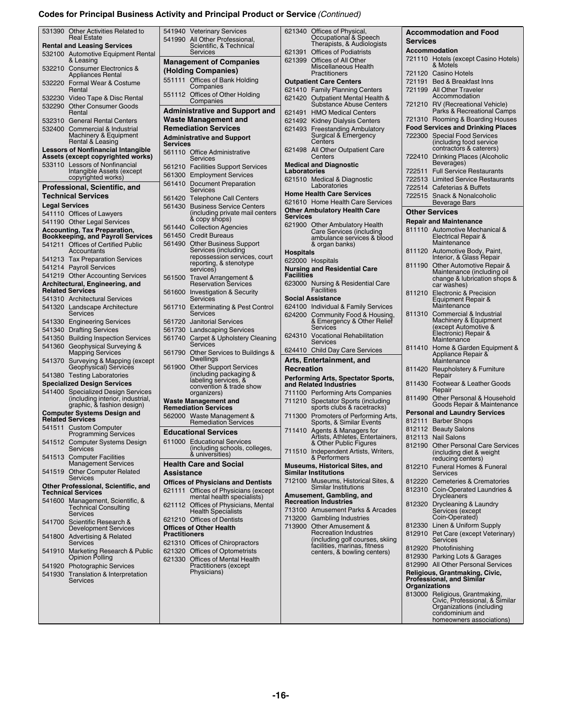### **Codes for Principal Business Activity and Principal Product or Service** *(Continued)*

| 531390 Other Activities Related to<br><b>Real Estate</b>               | 541940 Veterinary Services<br>541990 All Other Professional,      | 621340 Offices of Physical,<br>Occupational & Speech               | <b>Accommodation and Food</b><br><b>Services</b>                 |
|------------------------------------------------------------------------|-------------------------------------------------------------------|--------------------------------------------------------------------|------------------------------------------------------------------|
| <b>Rental and Leasing Services</b>                                     | Scientific, & Technical                                           | Therapists, & Audiologists                                         | Accommodation                                                    |
| 532100 Automotive Equipment Rental                                     | Services                                                          | 621391 Offices of Podiatrists                                      | 721110 Hotels (except Casino Hotels)                             |
| & Leasing<br>532210 Consumer Electronics &                             | <b>Management of Companies</b>                                    | 621399 Offices of All Other<br>Miscellaneous Health                | & Motels                                                         |
| <b>Appliances Rental</b>                                               | (Holding Companies)                                               | <b>Practitioners</b>                                               | 721120 Casino Hotels                                             |
| 532220 Formal Wear & Costume                                           | 551111 Offices of Bank Holding                                    | <b>Outpatient Care Centers</b>                                     | 721191 Bed & Breakfast Inns                                      |
| Rental                                                                 | Companies                                                         | 621410 Family Planning Centers                                     | 721199 All Other Traveler                                        |
| 532230 Video Tape & Disc Rental                                        | 551112 Offices of Other Holding<br>Companies                      | 621420 Outpatient Mental Health &                                  | Accommodation                                                    |
| 532290 Other Consumer Goods                                            | <b>Administrative and Support and</b>                             | <b>Substance Abuse Centers</b>                                     | 721210 RV (Recreational Vehicle)<br>Parks & Recreational Camps   |
| Rental                                                                 | <b>Waste Management and</b>                                       | 621491 HMO Medical Centers                                         | 721310 Rooming & Boarding Houses                                 |
| 532310 General Rental Centers                                          | <b>Remediation Services</b>                                       | 621492 Kidney Dialysis Centers                                     | <b>Food Services and Drinking Places</b>                         |
| 532400 Commercial & Industrial<br>Machinery & Equipment                |                                                                   | 621493 Freestanding Ambulatory<br>Surgical & Emergency             | 722300 Special Food Services                                     |
| Rental & Leasing                                                       | <b>Administrative and Support</b><br><b>Services</b>              | Centers                                                            | (including food service)                                         |
| <b>Lessors of Nonfinancial Intangible</b>                              | 561110 Office Administrative                                      | 621498 All Other Outpatient Care                                   | contractors & caterers)                                          |
| Assets (except copyrighted works)                                      | Services                                                          | Centers                                                            | 722410 Drinking Places (Alcoholic<br>Beverages)                  |
| 533110 Lessors of Nonfinancial<br>Intangible Assets (except            | 561210 Facilities Support Services                                | <b>Medical and Diagnostic</b><br>Laboratories                      | 722511 Full Service Restaurants                                  |
| copyrighted works)                                                     | 561300 Employment Services                                        | 621510 Medical & Diagnostic                                        | 722513 Limited Service Restaurants                               |
| Professional, Scientific, and                                          | 561410 Document Preparation                                       | Laboratories                                                       | 722514 Cafeterias & Buffets                                      |
| <b>Technical Services</b>                                              | Services                                                          | <b>Home Health Care Services</b>                                   | 722515 Snack & Nonalcoholic                                      |
| <b>Legal Services</b>                                                  | 561420 Telephone Call Centers<br>561430 Business Service Centers  | 621610 Home Health Care Services                                   | Beverage Bars                                                    |
| 541110 Offices of Lawyers                                              | including private mail centers                                    | <b>Other Ambulatory Health Care</b>                                | <b>Other Services</b>                                            |
| 541190 Other Legal Services                                            | & copy shops)                                                     | <b>Services</b>                                                    | <b>Repair and Maintenance</b>                                    |
| <b>Accounting, Tax Preparation,</b>                                    | 561440 Collection Agencies                                        | 621900 Other Ambulatory Health<br>Care Services (including         | 811110 Automotive Mechanical &                                   |
| <b>Bookkeeping, and Payroll Services</b>                               | 561450 Credit Bureaus                                             | ambulance services & blood                                         | Electrical Repair &                                              |
| 541211 Offices of Certified Public                                     | 561490 Other Business Support                                     | & organ banks)                                                     | Maintenance                                                      |
| Accountants                                                            | Services (including<br>repossession services, court               | <b>Hospitals</b>                                                   | 811120 Automotive Body, Paint,<br>Interior, & Glass Repair       |
| 541213 Tax Preparation Services                                        | reporting, & stenotype                                            | 622000 Hospitals                                                   | 811190 Other Automotive Repair &                                 |
| 541214 Payroll Services<br>541219 Other Accounting Services            | services)                                                         | <b>Nursing and Residential Care</b><br><b>Facilities</b>           | Maintenance (including oil                                       |
| Architectural, Engineering, and                                        | 561500 Travel Arrangement &<br><b>Reservation Services</b>        | 623000 Nursing & Residential Care                                  | change & lubrication shops &                                     |
| <b>Related Services</b>                                                | 561600 Investigation & Security                                   | <b>Facilities</b>                                                  | car washes)<br>811210 Electronic & Precision                     |
| 541310 Architectural Services                                          | <b>Services</b>                                                   | <b>Social Assistance</b>                                           | Equipment Repair &                                               |
| 541320 Landscape Architecture                                          | 561710 Exterminating & Pest Control                               | 624100 Individual & Family Services                                | Maintenance                                                      |
| <b>Services</b>                                                        | Services                                                          | 624200 Community Food & Housing,                                   | 811310 Commercial & Industrial                                   |
| 541330 Engineering Services                                            | 561720 Janitorial Services                                        | & Emergency & Other Relief<br><b>Services</b>                      | Machinery & Equipment<br>(except Automotive &                    |
| 541340 Drafting Services                                               | 561730 Landscaping Services                                       | 624310 Vocational Rehabilitation                                   | Electronic) Repair &                                             |
| 541350 Building Inspection Services                                    | 561740 Carpet & Upholstery Cleaning<br>Services                   | <b>Services</b>                                                    | Maintenance                                                      |
| 541360 Geophysical Surveying &<br><b>Mapping Services</b>              | 561790 Other Services to Buildings &                              | 624410 Child Day Care Services                                     | 811410 Home & Garden Equipment &                                 |
| 541370 Surveying & Mapping (except                                     | Dwellings                                                         | Arts, Entertainment, and                                           | Appliance Repair &<br>Maintenance                                |
| Geophysical) Services                                                  | 561900 Other Support Services                                     | <b>Recreation</b>                                                  | 811420 Reupholstery & Furniture                                  |
| 541380 Testing Laboratories                                            | (including packaging &<br>labeling services, &                    | <b>Performing Arts, Spectator Sports,</b>                          | Repair                                                           |
| <b>Specialized Design Services</b>                                     | convention & trade show                                           | and Related Industries                                             | 811430 Footwear & Leather Goods                                  |
| 541400 Specialized Design Services<br>(including interior, industrial, | organizers)                                                       | 711100 Performing Arts Companies                                   | Repair<br>811490 Other Personal & Household                      |
| graphic, & fashion design)                                             | <b>Waste Management and</b>                                       | 711210 Spectator Sports (including                                 | Goods Repair & Maintenance                                       |
| <b>Computer Systems Design and</b>                                     | <b>Remediation Services</b><br>562000 Waste Management &          | sports clubs & racetracks)<br>711300 Promoters of Performing Arts, | <b>Personal and Laundry Services</b>                             |
| <b>Related Services</b>                                                | <b>Remediation Services</b>                                       | Sports, & Similar Events                                           | 812111 Barber Shops                                              |
| 541511 Custom Computer                                                 | <b>Educational Services</b>                                       | 711410 Agents & Managers for                                       | 812112 Beauty Salons                                             |
| <b>Programming Services</b><br>541512 Computer Systems Design          | 611000 Educational Services                                       | Artists, Athletes, Entertainers,                                   | 812113 Nail Salons                                               |
| Services                                                               | (including schools, colleges,                                     | & Other Public Figures<br>711510 Independent Artists, Writers,     | 812190 Other Personal Care Services                              |
| 541513 Computer Facilities                                             | & universities)                                                   | & Performers                                                       | (including diet & weight)<br>reducing centers)                   |
| <b>Management Services</b>                                             | <b>Health Care and Social</b>                                     | <b>Museums, Historical Sites, and</b>                              | 812210 Funeral Homes & Funeral                                   |
| 541519 Other Computer Related<br><b>Services</b>                       | Assistance                                                        | <b>Similar Institutions</b>                                        | <b>Services</b>                                                  |
| Other Professional, Scientific, and                                    | <b>Offices of Physicians and Dentists</b>                         | 712100 Museums, Historical Sites, &<br>Similar Institutions        | 812220 Cemeteries & Crematories                                  |
| <b>Technical Services</b>                                              | 621111 Offices of Physicians (except                              | Amusement, Gambling, and                                           | 812310 Coin-Operated Laundries &                                 |
| 541600 Management, Scientific, &                                       | mental health specialists)                                        | <b>Recreation Industries</b>                                       | <b>Drycleaners</b><br>812320 Drycleaning & Laundry               |
| <b>Technical Consulting</b>                                            | 621112 Offices of Physicians, Mental<br><b>Health Specialists</b> | 713100 Amusement Parks & Arcades                                   | Services (except                                                 |
| <b>Services</b><br>541700 Scientific Research &                        | 621210 Offices of Dentists                                        | 713200 Gambling Industries                                         | Coin-Operated)                                                   |
| <b>Development Services</b>                                            | <b>Offices of Other Health</b>                                    | 713900 Other Amusement &                                           | 812330 Linen & Uniform Supply                                    |
| 541800 Advertising & Related                                           | <b>Practitioners</b>                                              | <b>Recreation Industries</b>                                       | 812910 Pet Care (except Veterinary)                              |
| Services                                                               | 621310 Offices of Chiropractors                                   | (including golf courses, skiing<br>facilities, marinas, fitness    | <b>Services</b>                                                  |
| 541910 Marketing Research & Public                                     | 621320 Offices of Optometrists                                    | centers, & bowling centers)                                        | 812920 Photofinishing<br>812930 Parking Lots & Garages           |
| <b>Opinion Polling</b>                                                 | 621330 Offices of Mental Health<br><b>Practitioners (except</b>   |                                                                    | 812990 All Other Personal Services                               |
| 541920 Photographic Services<br>541930 Translation & Interpretation    | Physicians)                                                       |                                                                    | Religious, Grantmaking, Civic,                                   |
| Services                                                               |                                                                   |                                                                    | <b>Professional, and Similar</b>                                 |
|                                                                        |                                                                   |                                                                    | Organizations                                                    |
|                                                                        |                                                                   |                                                                    | 813000 Religious, Grantmaking,<br>Civic, Professional, & Similar |
|                                                                        |                                                                   |                                                                    | Organizations (including                                         |
|                                                                        |                                                                   |                                                                    | condominium and                                                  |
|                                                                        |                                                                   |                                                                    | homeowners associations)                                         |